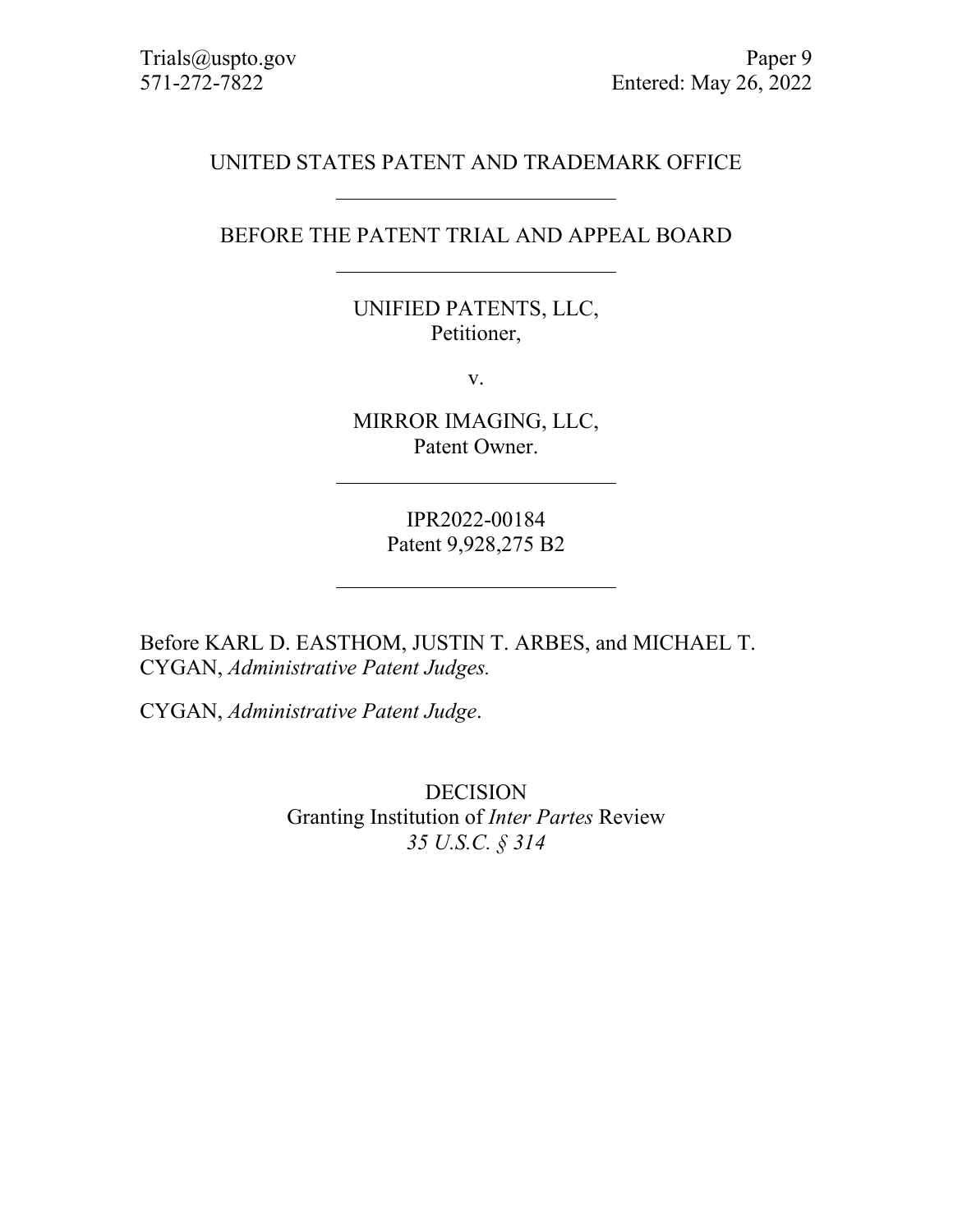## UNITED STATES PATENT AND TRADEMARK OFFICE

## BEFORE THE PATENT TRIAL AND APPEAL BOARD

## UNIFIED PATENTS, LLC, Petitioner,

v.

MIRROR IMAGING, LLC, Patent Owner.

> IPR2022-00184 Patent 9,928,275 B2

Before KARL D. EASTHOM, JUSTIN T. ARBES, and MICHAEL T. CYGAN, *Administrative Patent Judges.*

CYGAN, *Administrative Patent Judge*.

DECISION Granting Institution of *Inter Partes* Review *35 U.S.C. § 314*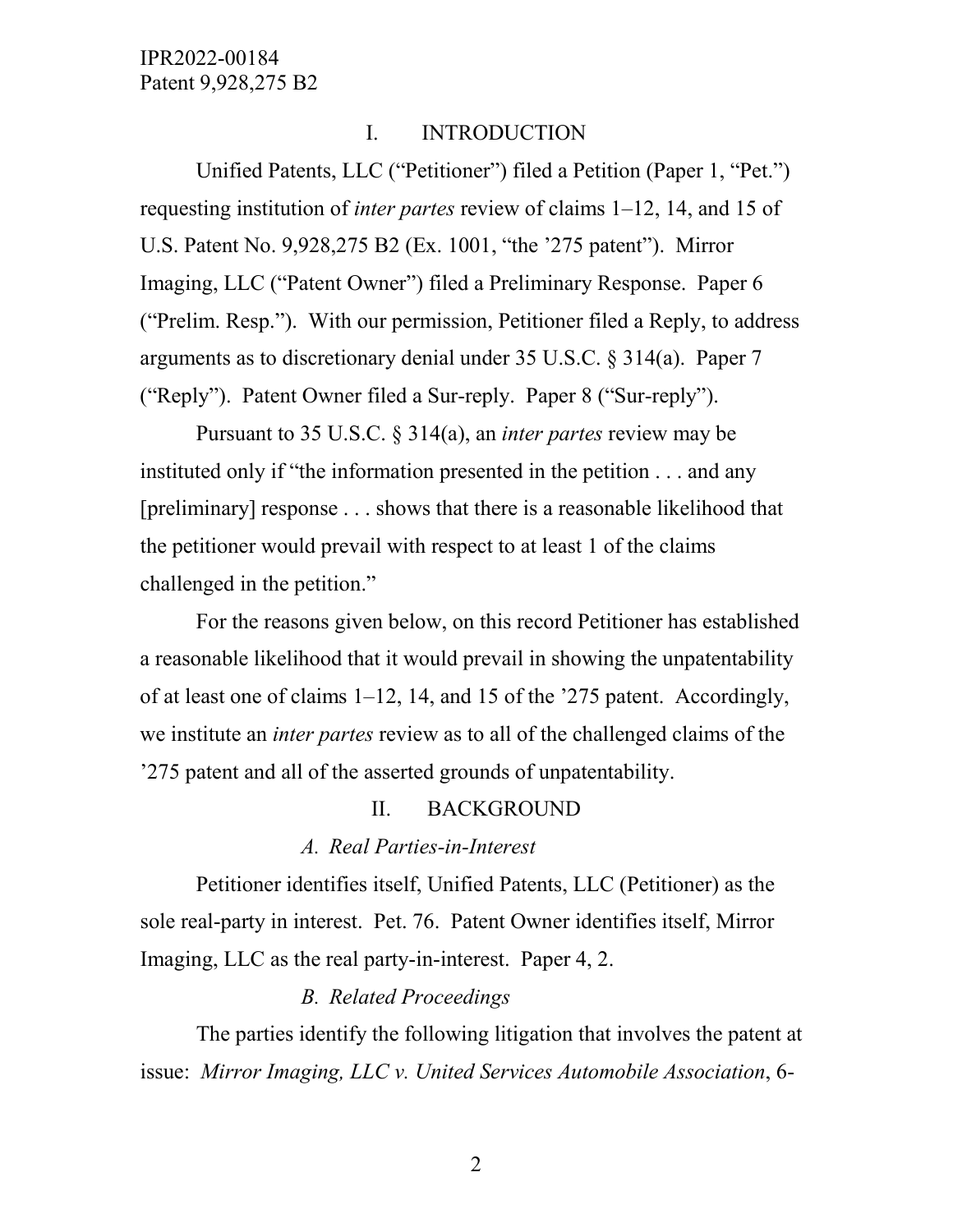## I. INTRODUCTION

Unified Patents, LLC ("Petitioner") filed a Petition (Paper 1, "Pet.") requesting institution of *inter partes* review of claims 1–12, 14, and 15 of U.S. Patent No. 9,928,275 B2 (Ex. 1001, "the '275 patent"). Mirror Imaging, LLC ("Patent Owner") filed a Preliminary Response. Paper 6 ("Prelim. Resp."). With our permission, Petitioner filed a Reply, to address arguments as to discretionary denial under 35 U.S.C. § 314(a). Paper 7 ("Reply"). Patent Owner filed a Sur-reply. Paper 8 ("Sur-reply").

Pursuant to 35 U.S.C. § 314(a), an *inter partes* review may be instituted only if "the information presented in the petition . . . and any [preliminary] response . . . shows that there is a reasonable likelihood that the petitioner would prevail with respect to at least 1 of the claims challenged in the petition."

For the reasons given below, on this record Petitioner has established a reasonable likelihood that it would prevail in showing the unpatentability of at least one of claims 1–12, 14, and 15 of the '275 patent. Accordingly, we institute an *inter partes* review as to all of the challenged claims of the '275 patent and all of the asserted grounds of unpatentability.

#### II. BACKGROUND

#### *A. Real Parties-in-Interest*

Petitioner identifies itself, Unified Patents, LLC (Petitioner) as the sole real-party in interest. Pet. 76. Patent Owner identifies itself, Mirror Imaging, LLC as the real party-in-interest. Paper 4, 2.

# *B. Related Proceedings*

The parties identify the following litigation that involves the patent at issue: *Mirror Imaging, LLC v. United Services Automobile Association*, 6-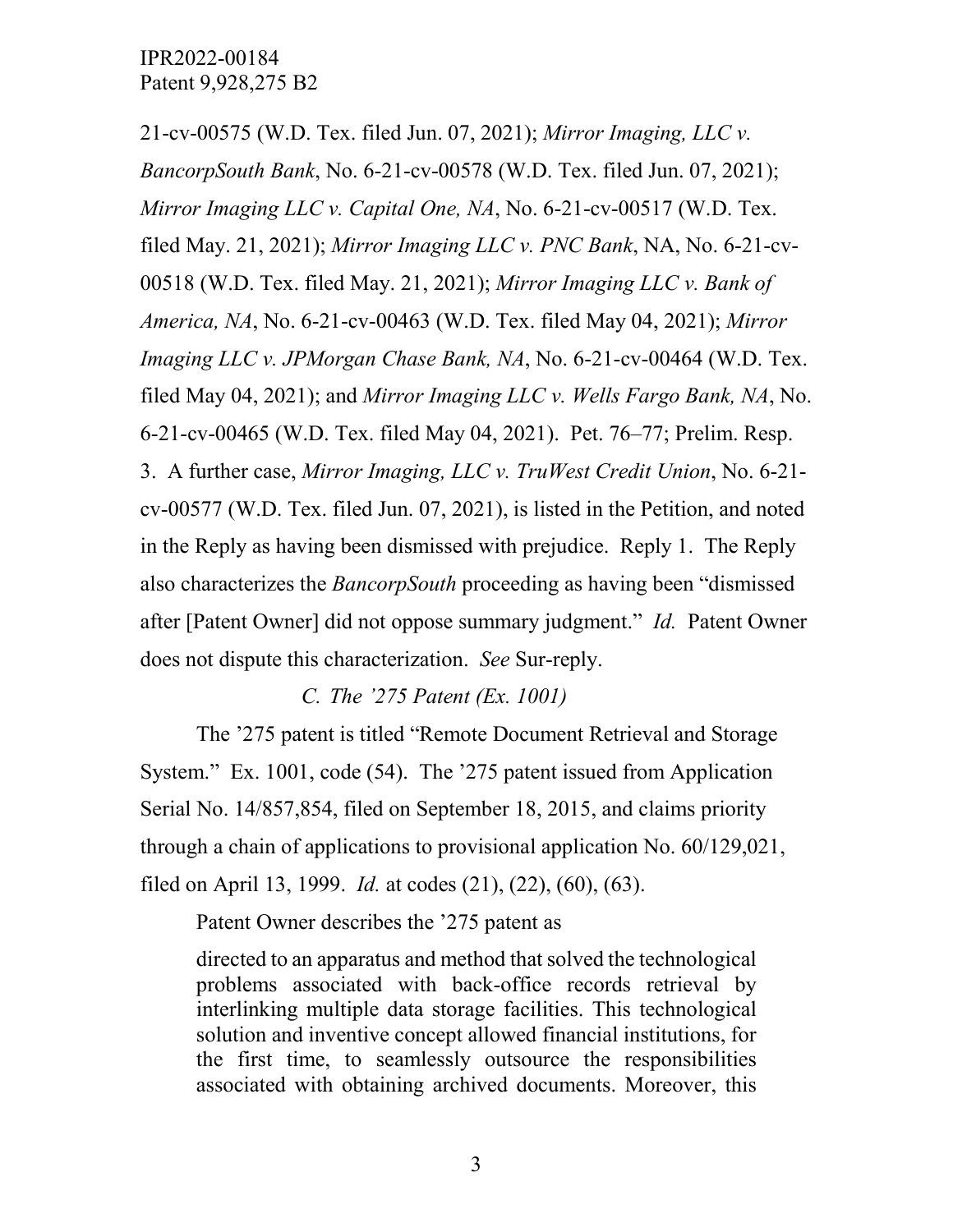21-cv-00575 (W.D. Tex. filed Jun. 07, 2021); *Mirror Imaging, LLC v. BancorpSouth Bank*, No. 6-21-cv-00578 (W.D. Tex. filed Jun. 07, 2021); *Mirror Imaging LLC v. Capital One, NA*, No. 6-21-cv-00517 (W.D. Tex. filed May. 21, 2021); *Mirror Imaging LLC v. PNC Bank*, NA, No. 6-21-cv-00518 (W.D. Tex. filed May. 21, 2021); *Mirror Imaging LLC v. Bank of America, NA*, No. 6-21-cv-00463 (W.D. Tex. filed May 04, 2021); *Mirror Imaging LLC v. JPMorgan Chase Bank, NA*, No. 6-21-cv-00464 (W.D. Tex. filed May 04, 2021); and *Mirror Imaging LLC v. Wells Fargo Bank, NA*, No. 6-21-cv-00465 (W.D. Tex. filed May 04, 2021). Pet. 76–77; Prelim. Resp. 3. A further case, *Mirror Imaging, LLC v. TruWest Credit Union*, No. 6-21 cv-00577 (W.D. Tex. filed Jun. 07, 2021), is listed in the Petition, and noted in the Reply as having been dismissed with prejudice. Reply 1. The Reply also characterizes the *BancorpSouth* proceeding as having been "dismissed after [Patent Owner] did not oppose summary judgment." *Id.* Patent Owner does not dispute this characterization. *See* Sur-reply.

*C. The '275 Patent (Ex. 1001)*

The '275 patent is titled "Remote Document Retrieval and Storage System." Ex. 1001, code (54). The '275 patent issued from Application Serial No. 14/857,854, filed on September 18, 2015, and claims priority through a chain of applications to provisional application No. 60/129,021, filed on April 13, 1999. *Id.* at codes (21), (22), (60), (63).

Patent Owner describes the '275 patent as

directed to an apparatus and method that solved the technological problems associated with back-office records retrieval by interlinking multiple data storage facilities. This technological solution and inventive concept allowed financial institutions, for the first time, to seamlessly outsource the responsibilities associated with obtaining archived documents. Moreover, this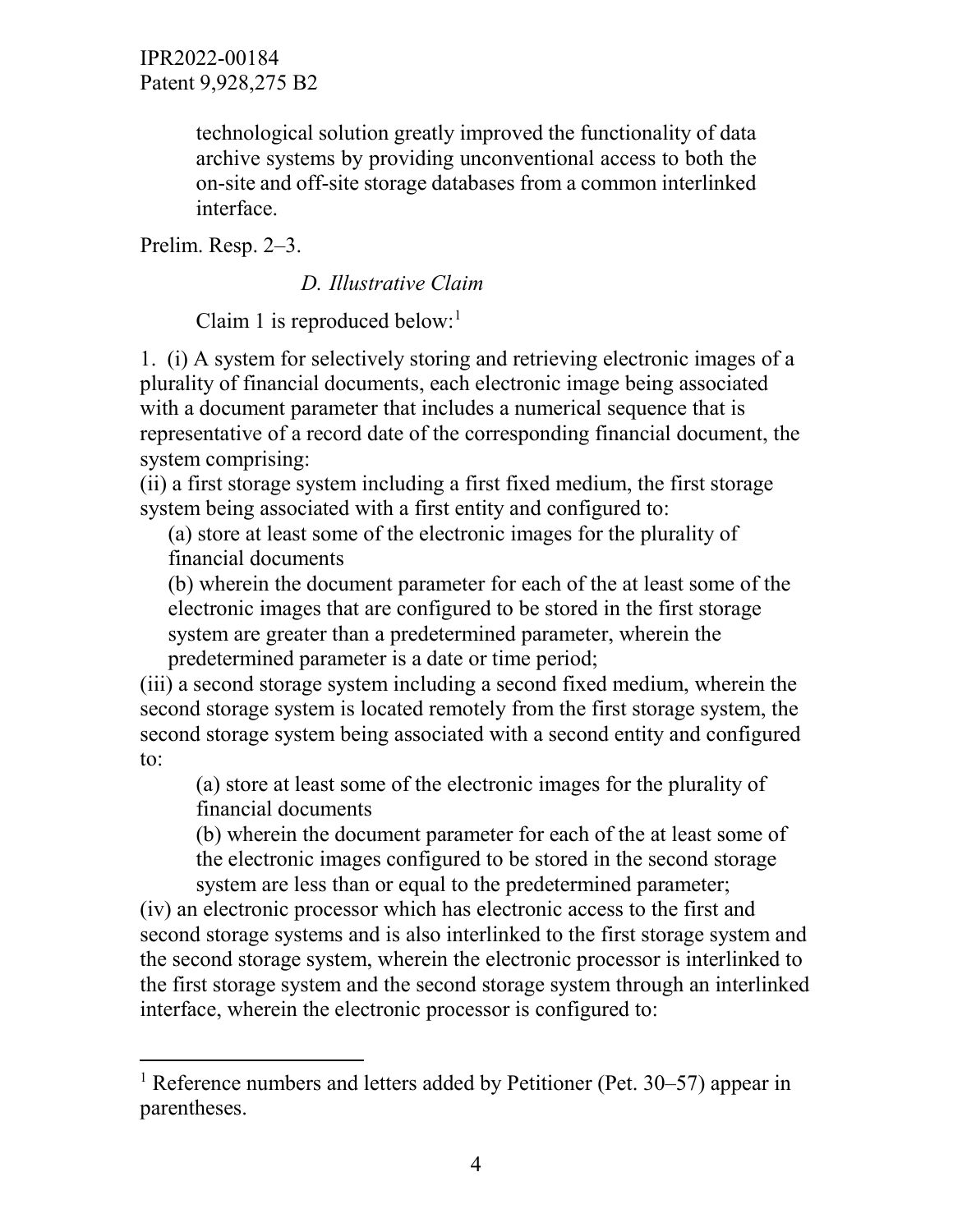> technological solution greatly improved the functionality of data archive systems by providing unconventional access to both the on-site and off-site storage databases from a common interlinked interface.

Prelim. Resp. 2–3.

# *D. Illustrative Claim*

Claim [1](#page-3-0) is reproduced below:<sup>1</sup>

1. (i) A system for selectively storing and retrieving electronic images of a plurality of financial documents, each electronic image being associated with a document parameter that includes a numerical sequence that is representative of a record date of the corresponding financial document, the system comprising:

(ii) a first storage system including a first fixed medium, the first storage system being associated with a first entity and configured to:

(a) store at least some of the electronic images for the plurality of financial documents

(b) wherein the document parameter for each of the at least some of the electronic images that are configured to be stored in the first storage system are greater than a predetermined parameter, wherein the predetermined parameter is a date or time period;

(iii) a second storage system including a second fixed medium, wherein the second storage system is located remotely from the first storage system, the second storage system being associated with a second entity and configured to:

(a) store at least some of the electronic images for the plurality of financial documents

(b) wherein the document parameter for each of the at least some of the electronic images configured to be stored in the second storage system are less than or equal to the predetermined parameter;

(iv) an electronic processor which has electronic access to the first and second storage systems and is also interlinked to the first storage system and the second storage system, wherein the electronic processor is interlinked to the first storage system and the second storage system through an interlinked interface, wherein the electronic processor is configured to:

<span id="page-3-0"></span><sup>&</sup>lt;sup>1</sup> Reference numbers and letters added by Petitioner (Pet.  $30-57$ ) appear in parentheses.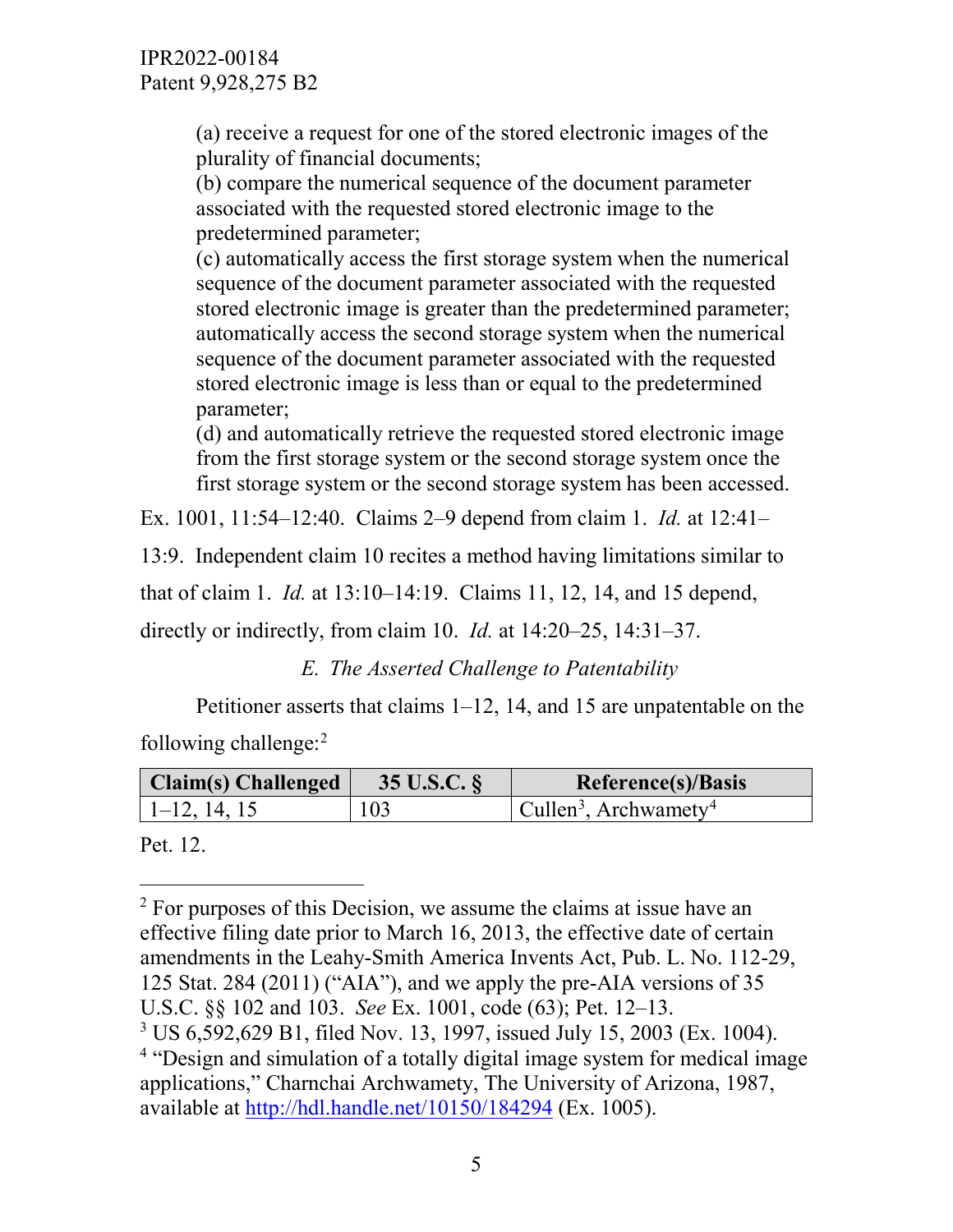(a) receive a request for one of the stored electronic images of the plurality of financial documents;

(b) compare the numerical sequence of the document parameter associated with the requested stored electronic image to the predetermined parameter;

(c) automatically access the first storage system when the numerical sequence of the document parameter associated with the requested stored electronic image is greater than the predetermined parameter; automatically access the second storage system when the numerical sequence of the document parameter associated with the requested stored electronic image is less than or equal to the predetermined parameter;

(d) and automatically retrieve the requested stored electronic image from the first storage system or the second storage system once the first storage system or the second storage system has been accessed.

Ex. 1001, 11:54–12:40. Claims 2–9 depend from claim 1. *Id.* at 12:41–

13:9. Independent claim 10 recites a method having limitations similar to

that of claim 1. *Id.* at 13:10–14:19. Claims 11, 12, 14, and 15 depend,

directly or indirectly, from claim 10. *Id.* at 14:20–25, 14:31–37.

*E. The Asserted Challenge to Patentability*

Petitioner asserts that claims 1–12, 14, and 15 are unpatentable on the following challenge: [2](#page-4-0)

| <b>Claim(s)</b> Challenged | 35 U.S.C. § | Reference(s)/Basis                                    |
|----------------------------|-------------|-------------------------------------------------------|
| $ 1-12, 14, 15 $           | 103         | $\vert$ Cullen <sup>3</sup> , Archwametv <sup>4</sup> |

Pet. 12.

<span id="page-4-0"></span> $2^2$  For purposes of this Decision, we assume the claims at issue have an effective filing date prior to March 16, 2013, the effective date of certain amendments in the Leahy-Smith America Invents Act, Pub. L. No. 112-29, 125 Stat. 284 (2011) ("AIA"), and we apply the pre-AIA versions of 35 U.S.C. §§ 102 and 103. *See* Ex. 1001, code (63); Pet. 12–13. <sup>3</sup> US 6,592,629 B1, filed Nov. 13, 1997, issued July 15, 2003 (Ex. 1004).

<span id="page-4-2"></span><span id="page-4-1"></span><sup>&</sup>lt;sup>4</sup> "Design and simulation of a totally digital image system for medical image applications," Charnchai Archwamety, The University of Arizona, 1987, available at<http://hdl.handle.net/10150/184294> (Ex. 1005).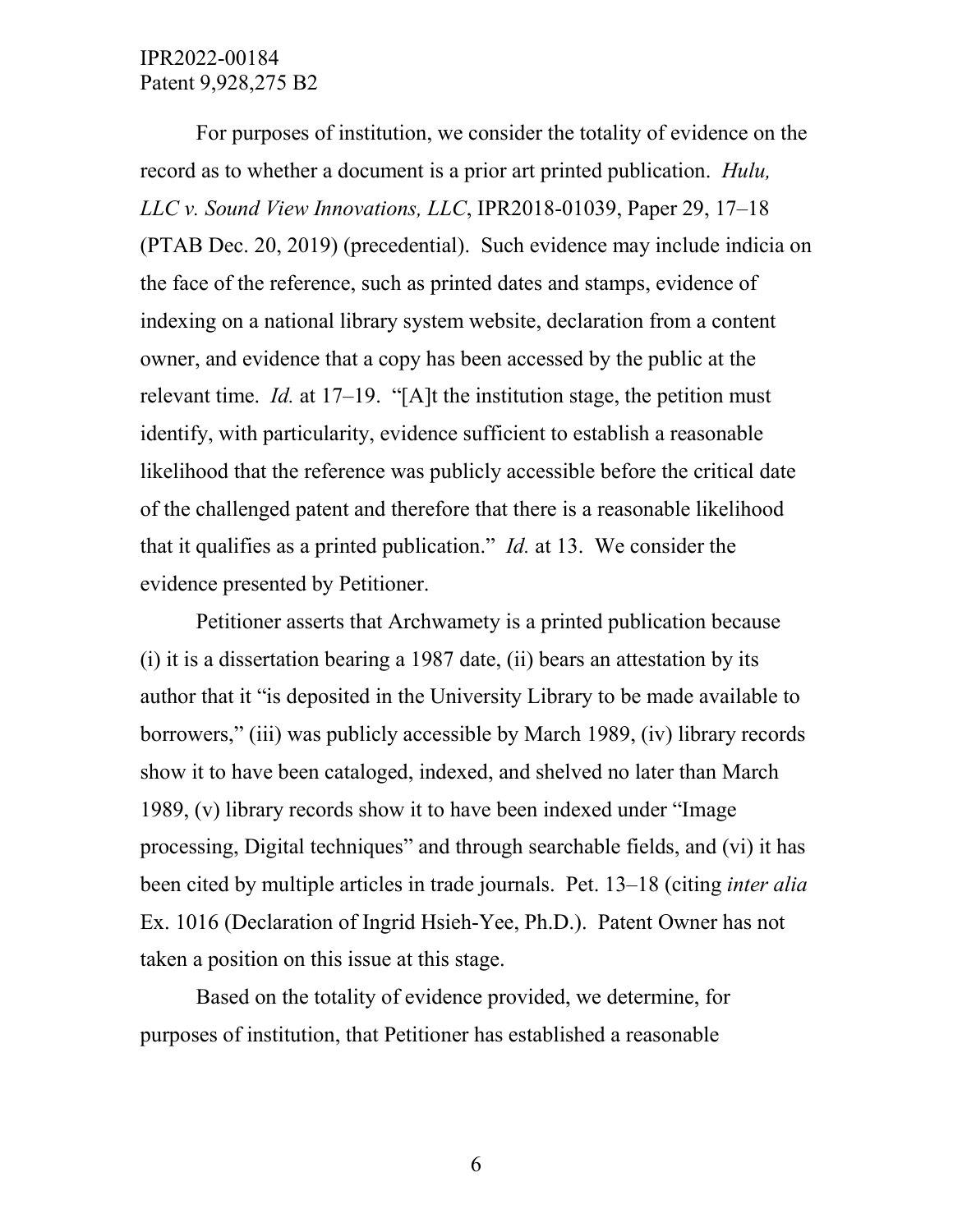For purposes of institution, we consider the totality of evidence on the record as to whether a document is a prior art printed publication. *Hulu, LLC v. Sound View Innovations, LLC*, IPR2018-01039, Paper 29, 17–18 (PTAB Dec. 20, 2019) (precedential). Such evidence may include indicia on the face of the reference, such as printed dates and stamps, evidence of indexing on a national library system website, declaration from a content owner, and evidence that a copy has been accessed by the public at the relevant time. *Id.* at 17–19. "[A]t the institution stage, the petition must identify, with particularity, evidence sufficient to establish a reasonable likelihood that the reference was publicly accessible before the critical date of the challenged patent and therefore that there is a reasonable likelihood that it qualifies as a printed publication." *Id.* at 13. We consider the evidence presented by Petitioner.

Petitioner asserts that Archwamety is a printed publication because (i) it is a dissertation bearing a 1987 date, (ii) bears an attestation by its author that it "is deposited in the University Library to be made available to borrowers," (iii) was publicly accessible by March 1989, (iv) library records show it to have been cataloged, indexed, and shelved no later than March 1989, (v) library records show it to have been indexed under "Image processing, Digital techniques" and through searchable fields, and (vi) it has been cited by multiple articles in trade journals. Pet. 13–18 (citing *inter alia* Ex. 1016 (Declaration of Ingrid Hsieh-Yee, Ph.D.). Patent Owner has not taken a position on this issue at this stage.

Based on the totality of evidence provided, we determine, for purposes of institution, that Petitioner has established a reasonable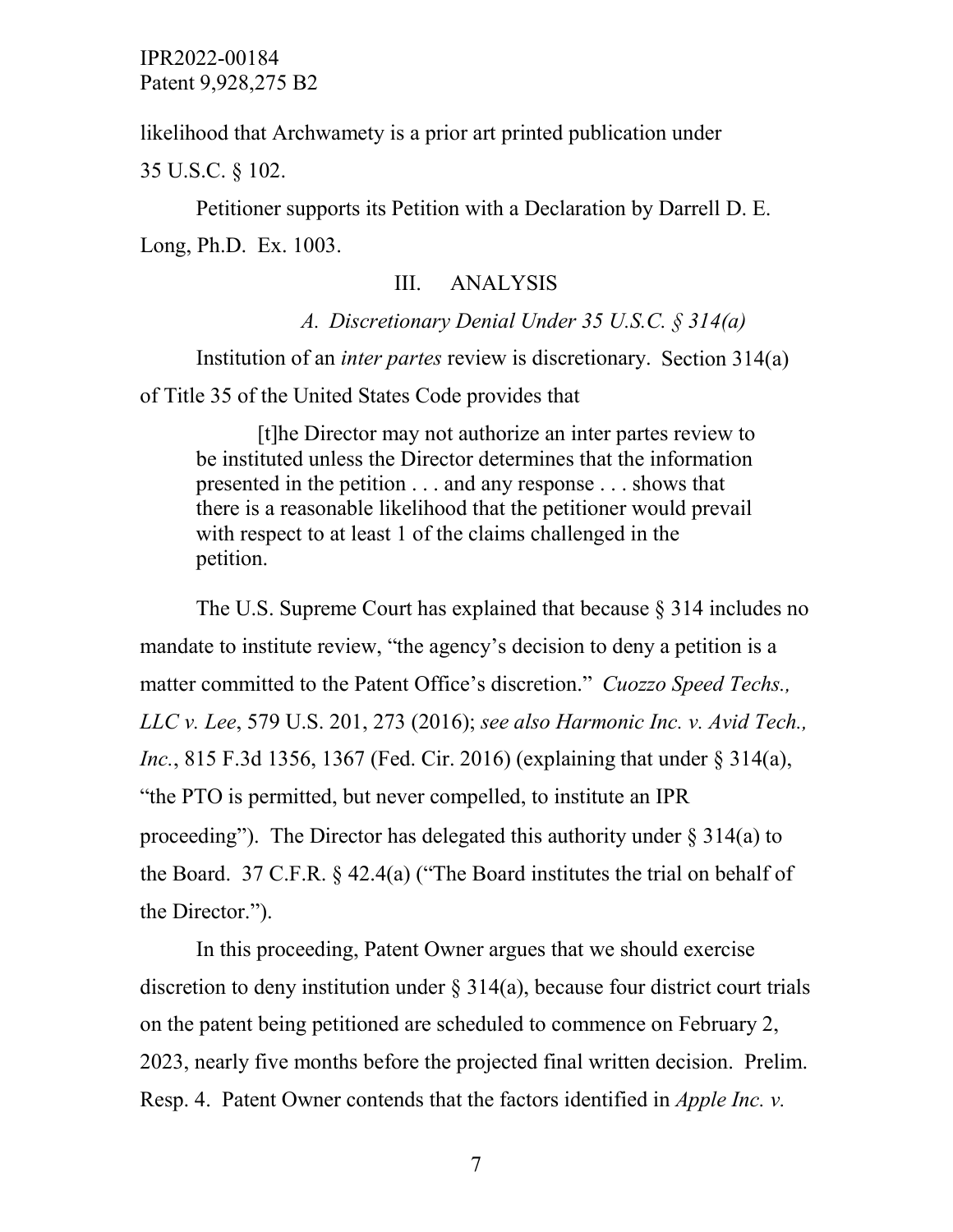likelihood that Archwamety is a prior art printed publication under

35 U.S.C. § 102.

Petitioner supports its Petition with a Declaration by Darrell D. E. Long, Ph.D. Ex. 1003.

## III. ANALYSIS

*A. Discretionary Denial Under 35 U.S.C. § 314(a)* Institution of an *inter partes* review is discretionary. Section 314(a) of Title 35 of the United States Code provides that

[t]he Director may not authorize an inter partes review to be instituted unless the Director determines that the information presented in the petition . . . and any response . . . shows that there is a reasonable likelihood that the petitioner would prevail with respect to at least 1 of the claims challenged in the petition.

The U.S. Supreme Court has explained that because  $\S 314$  includes no mandate to institute review, "the agency's decision to deny a petition is a matter committed to the Patent Office's discretion." *Cuozzo Speed Techs., LLC v. Lee*, 579 U.S. 201, 273 (2016); *see also Harmonic Inc. v. Avid Tech., Inc.*, 815 F.3d 1356, 1367 (Fed. Cir. 2016) (explaining that under § 314(a), "the PTO is permitted, but never compelled, to institute an IPR proceeding"). The Director has delegated this authority under  $\S 314(a)$  to the Board. 37 C.F.R. § 42.4(a) ("The Board institutes the trial on behalf of the Director.").

In this proceeding, Patent Owner argues that we should exercise discretion to deny institution under § 314(a), because four district court trials on the patent being petitioned are scheduled to commence on February 2, 2023, nearly five months before the projected final written decision. Prelim. Resp. 4. Patent Owner contends that the factors identified in *Apple Inc. v.*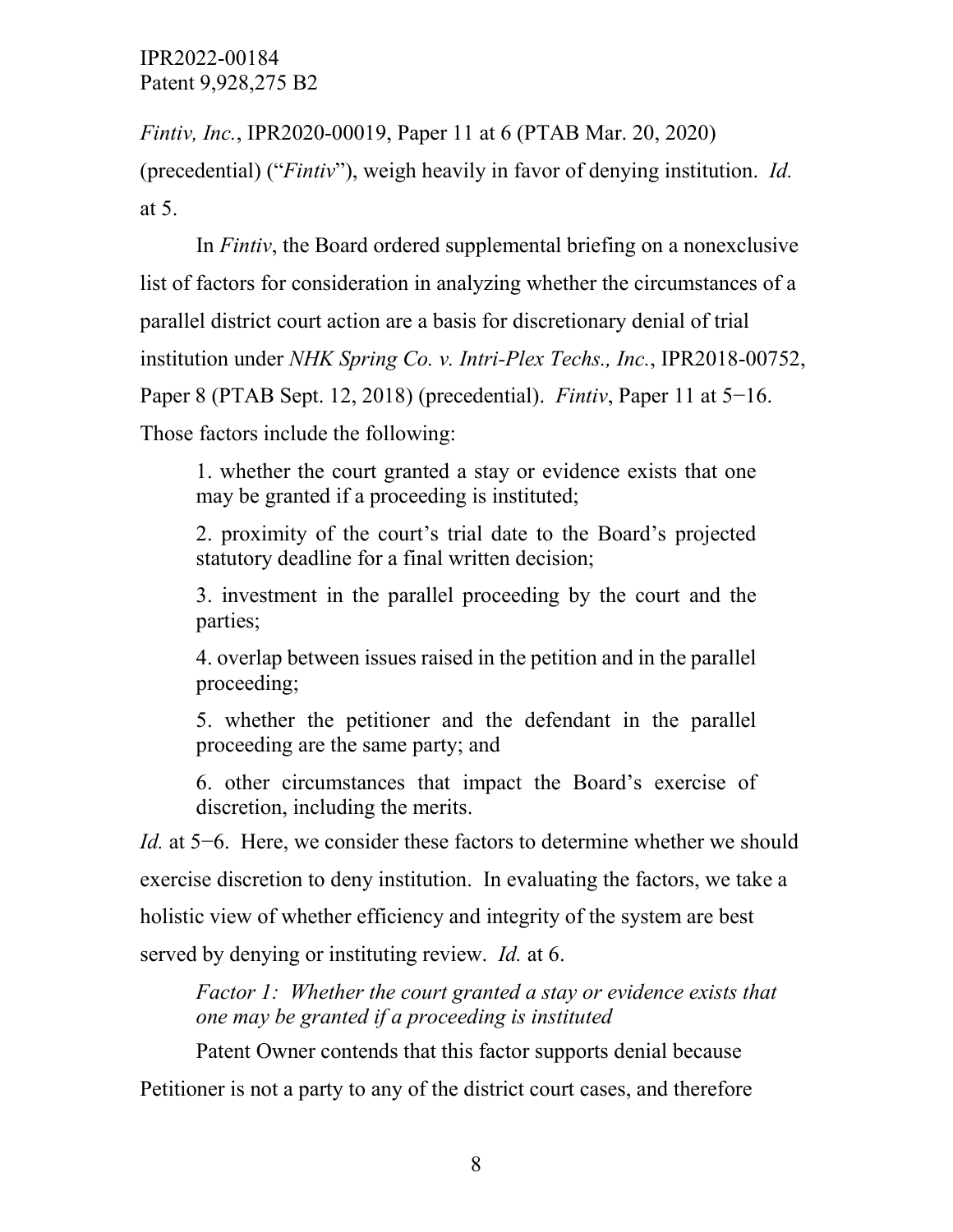*Fintiv, Inc.*, IPR2020-00019, Paper 11 at 6 (PTAB Mar. 20, 2020)

(precedential) ("*Fintiv*"), weigh heavily in favor of denying institution. *Id.*  at 5.

In *Fintiv*, the Board ordered supplemental briefing on a nonexclusive list of factors for consideration in analyzing whether the circumstances of a parallel district court action are a basis for discretionary denial of trial institution under *NHK Spring Co. v. Intri-Plex Techs., Inc.*, IPR2018-00752, Paper 8 (PTAB Sept. 12, 2018) (precedential). *Fintiv*, Paper 11 at 5−16. Those factors include the following:

1. whether the court granted a stay or evidence exists that one may be granted if a proceeding is instituted;

2. proximity of the court's trial date to the Board's projected statutory deadline for a final written decision;

3. investment in the parallel proceeding by the court and the parties;

4. overlap between issues raised in the petition and in the parallel proceeding;

5. whether the petitioner and the defendant in the parallel proceeding are the same party; and

6. other circumstances that impact the Board's exercise of discretion, including the merits.

*Id.* at 5−6. Here, we consider these factors to determine whether we should exercise discretion to deny institution. In evaluating the factors, we take a holistic view of whether efficiency and integrity of the system are best served by denying or instituting review. *Id.* at 6.

*Factor 1: Whether the court granted a stay or evidence exists that one may be granted if a proceeding is instituted*

Patent Owner contends that this factor supports denial because

Petitioner is not a party to any of the district court cases, and therefore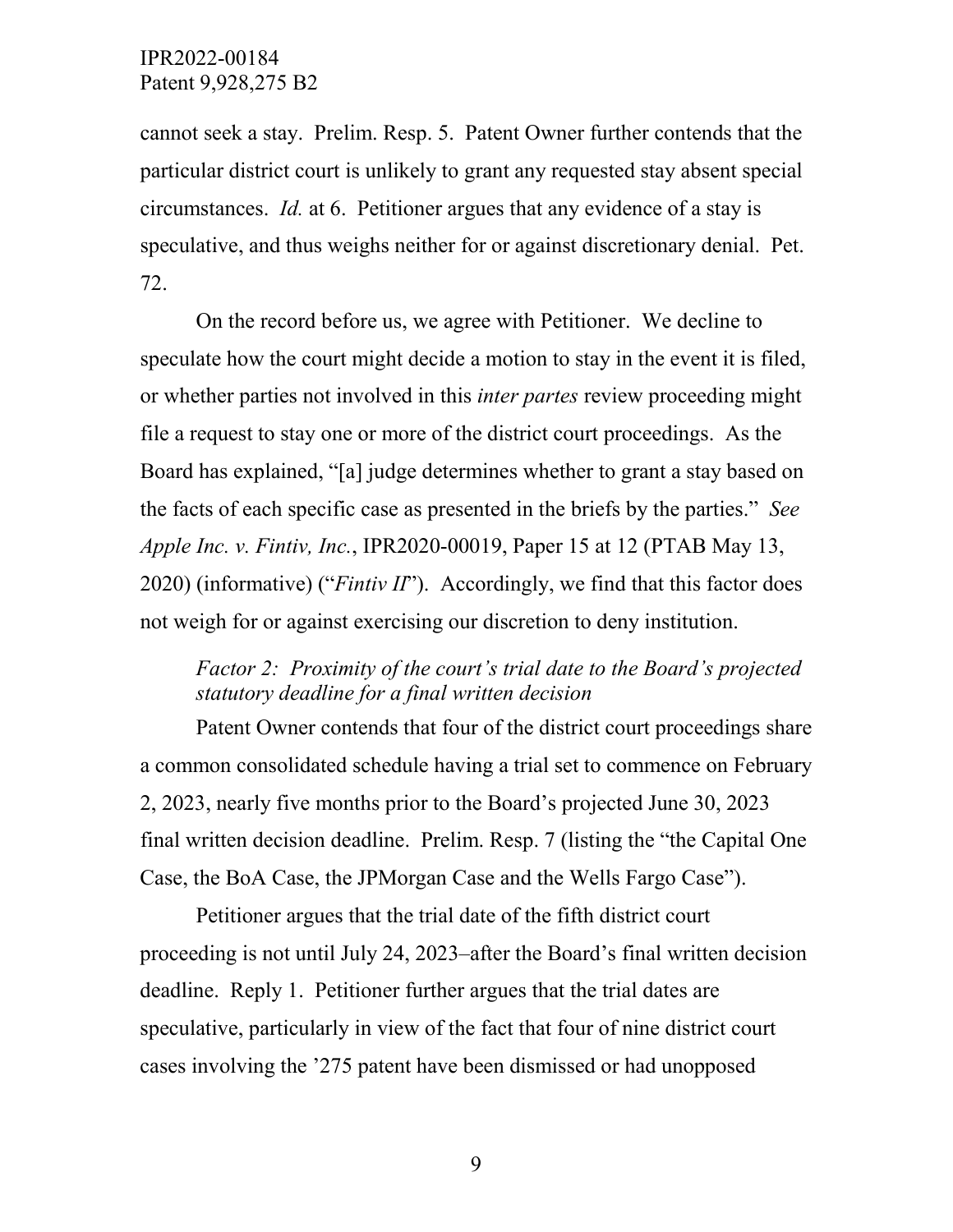cannot seek a stay. Prelim. Resp. 5. Patent Owner further contends that the particular district court is unlikely to grant any requested stay absent special circumstances. *Id.* at 6. Petitioner argues that any evidence of a stay is speculative, and thus weighs neither for or against discretionary denial. Pet. 72.

On the record before us, we agree with Petitioner. We decline to speculate how the court might decide a motion to stay in the event it is filed, or whether parties not involved in this *inter partes* review proceeding might file a request to stay one or more of the district court proceedings. As the Board has explained, "[a] judge determines whether to grant a stay based on the facts of each specific case as presented in the briefs by the parties." *See Apple Inc. v. Fintiv, Inc.*, IPR2020-00019, Paper 15 at 12 (PTAB May 13, 2020) (informative) ("*Fintiv II*"). Accordingly, we find that this factor does not weigh for or against exercising our discretion to deny institution.

# *Factor 2: Proximity of the court's trial date to the Board's projected statutory deadline for a final written decision*

Patent Owner contends that four of the district court proceedings share a common consolidated schedule having a trial set to commence on February 2, 2023, nearly five months prior to the Board's projected June 30, 2023 final written decision deadline. Prelim. Resp. 7 (listing the "the Capital One Case, the BoA Case, the JPMorgan Case and the Wells Fargo Case").

Petitioner argues that the trial date of the fifth district court proceeding is not until July 24, 2023–after the Board's final written decision deadline. Reply 1. Petitioner further argues that the trial dates are speculative, particularly in view of the fact that four of nine district court cases involving the '275 patent have been dismissed or had unopposed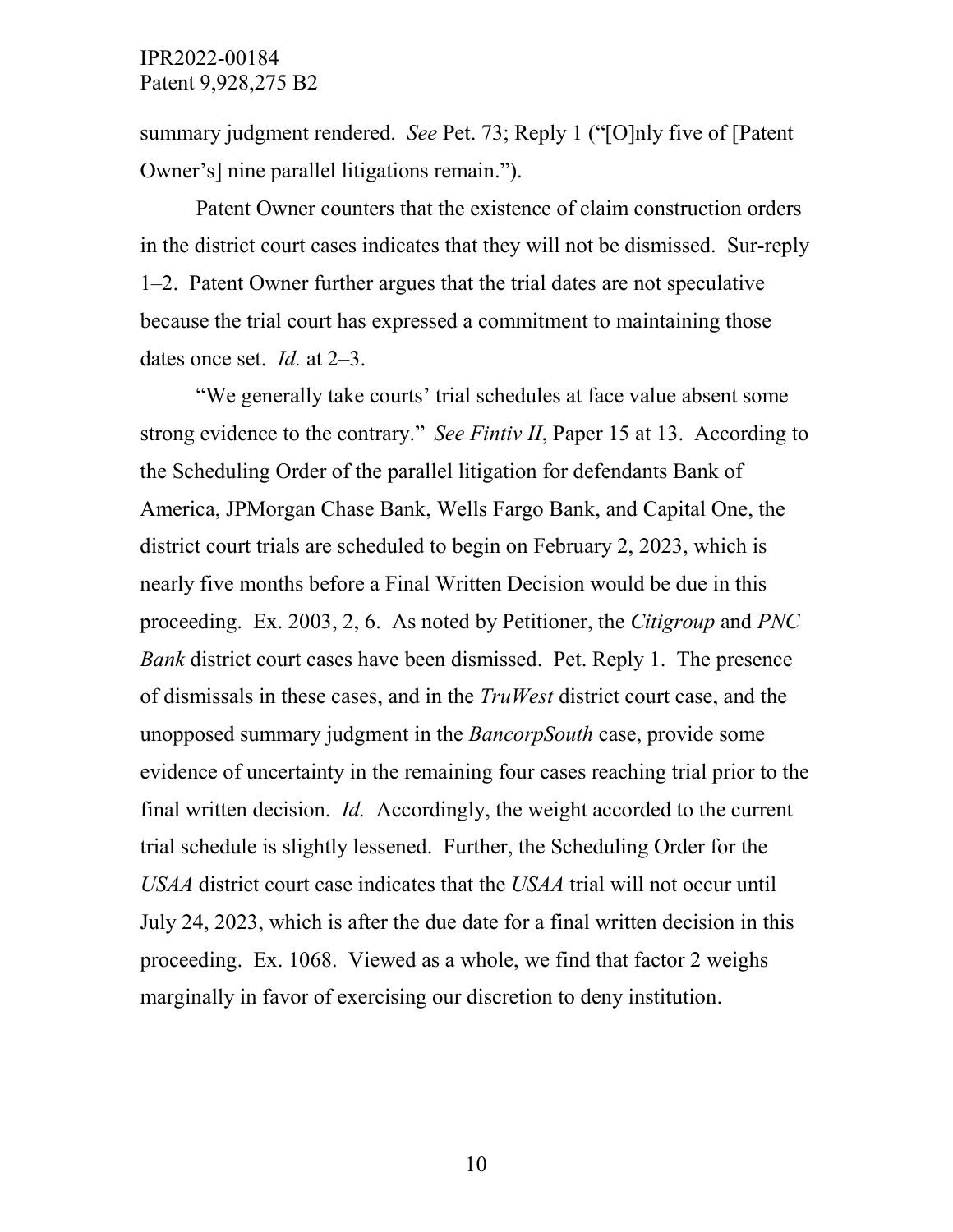summary judgment rendered. *See* Pet. 73; Reply 1 ("[O]nly five of [Patent Owner's] nine parallel litigations remain.").

Patent Owner counters that the existence of claim construction orders in the district court cases indicates that they will not be dismissed. Sur-reply 1–2. Patent Owner further argues that the trial dates are not speculative because the trial court has expressed a commitment to maintaining those dates once set. *Id.* at 2–3.

"We generally take courts' trial schedules at face value absent some strong evidence to the contrary." *See Fintiv II*, Paper 15 at 13. According to the Scheduling Order of the parallel litigation for defendants Bank of America, JPMorgan Chase Bank, Wells Fargo Bank, and Capital One, the district court trials are scheduled to begin on February 2, 2023, which is nearly five months before a Final Written Decision would be due in this proceeding. Ex. 2003, 2, 6. As noted by Petitioner, the *Citigroup* and *PNC Bank* district court cases have been dismissed. Pet. Reply 1. The presence of dismissals in these cases, and in the *TruWest* district court case, and the unopposed summary judgment in the *BancorpSouth* case, provide some evidence of uncertainty in the remaining four cases reaching trial prior to the final written decision. *Id.* Accordingly, the weight accorded to the current trial schedule is slightly lessened. Further, the Scheduling Order for the *USAA* district court case indicates that the *USAA* trial will not occur until July 24, 2023, which is after the due date for a final written decision in this proceeding. Ex. 1068. Viewed as a whole, we find that factor 2 weighs marginally in favor of exercising our discretion to deny institution.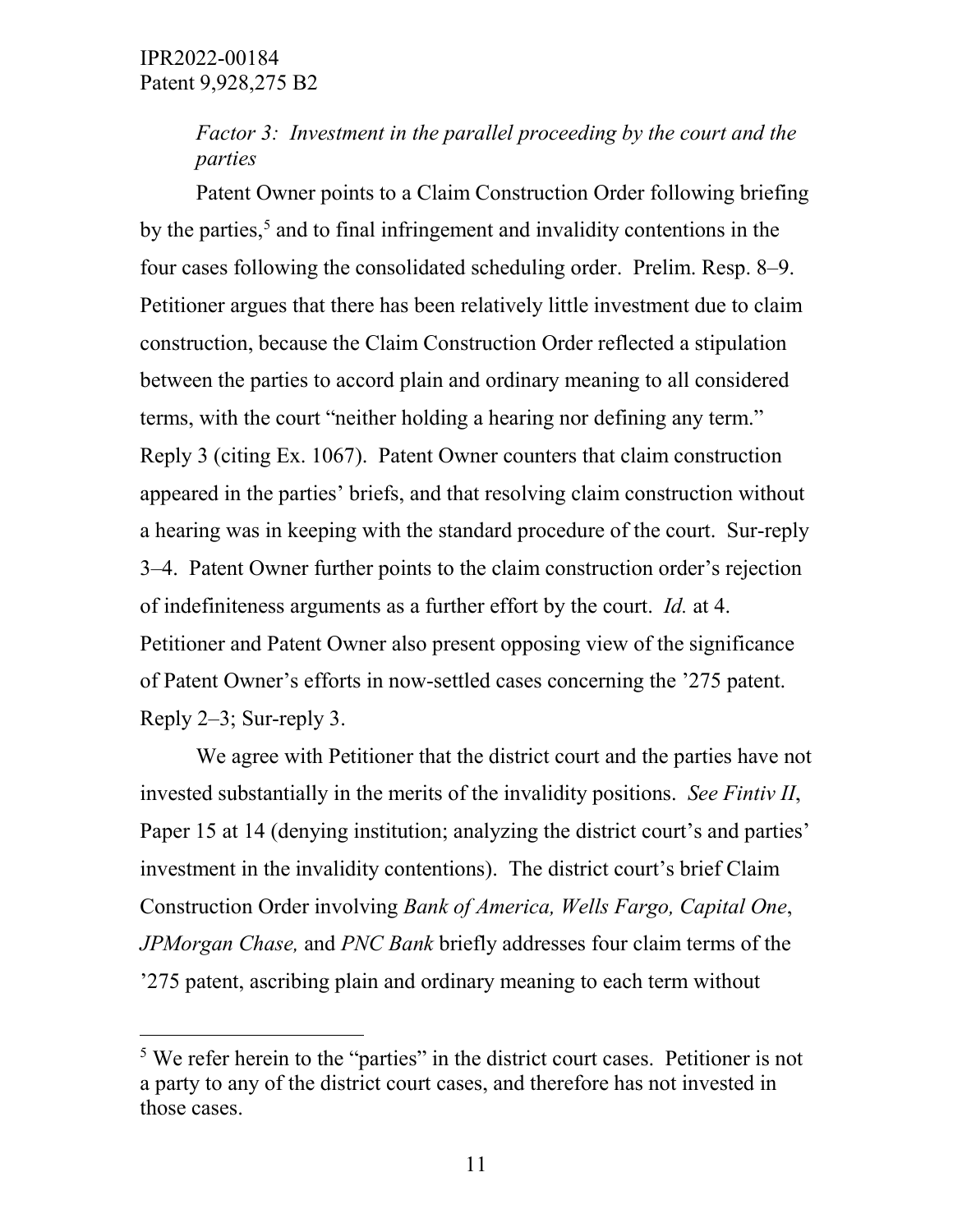*Factor 3: Investment in the parallel proceeding by the court and the parties*

Patent Owner points to a Claim Construction Order following briefing by the parties,<sup>5</sup> and to final infringement and invalidity contentions in the four cases following the consolidated scheduling order. Prelim. Resp. 8–9. Petitioner argues that there has been relatively little investment due to claim construction, because the Claim Construction Order reflected a stipulation between the parties to accord plain and ordinary meaning to all considered terms, with the court "neither holding a hearing nor defining any term." Reply 3 (citing Ex. 1067). Patent Owner counters that claim construction appeared in the parties' briefs, and that resolving claim construction without a hearing was in keeping with the standard procedure of the court. Sur-reply 3–4. Patent Owner further points to the claim construction order's rejection of indefiniteness arguments as a further effort by the court. *Id.* at 4. Petitioner and Patent Owner also present opposing view of the significance of Patent Owner's efforts in now-settled cases concerning the '275 patent. Reply 2–3; Sur-reply 3.

We agree with Petitioner that the district court and the parties have not invested substantially in the merits of the invalidity positions. *See Fintiv II*, Paper 15 at 14 (denying institution; analyzing the district court's and parties' investment in the invalidity contentions). The district court's brief Claim Construction Order involving *Bank of America, Wells Fargo, Capital One*, *JPMorgan Chase,* and *PNC Bank* briefly addresses four claim terms of the '275 patent, ascribing plain and ordinary meaning to each term without

<span id="page-10-0"></span><sup>&</sup>lt;sup>5</sup> We refer herein to the "parties" in the district court cases. Petitioner is not a party to any of the district court cases, and therefore has not invested in those cases.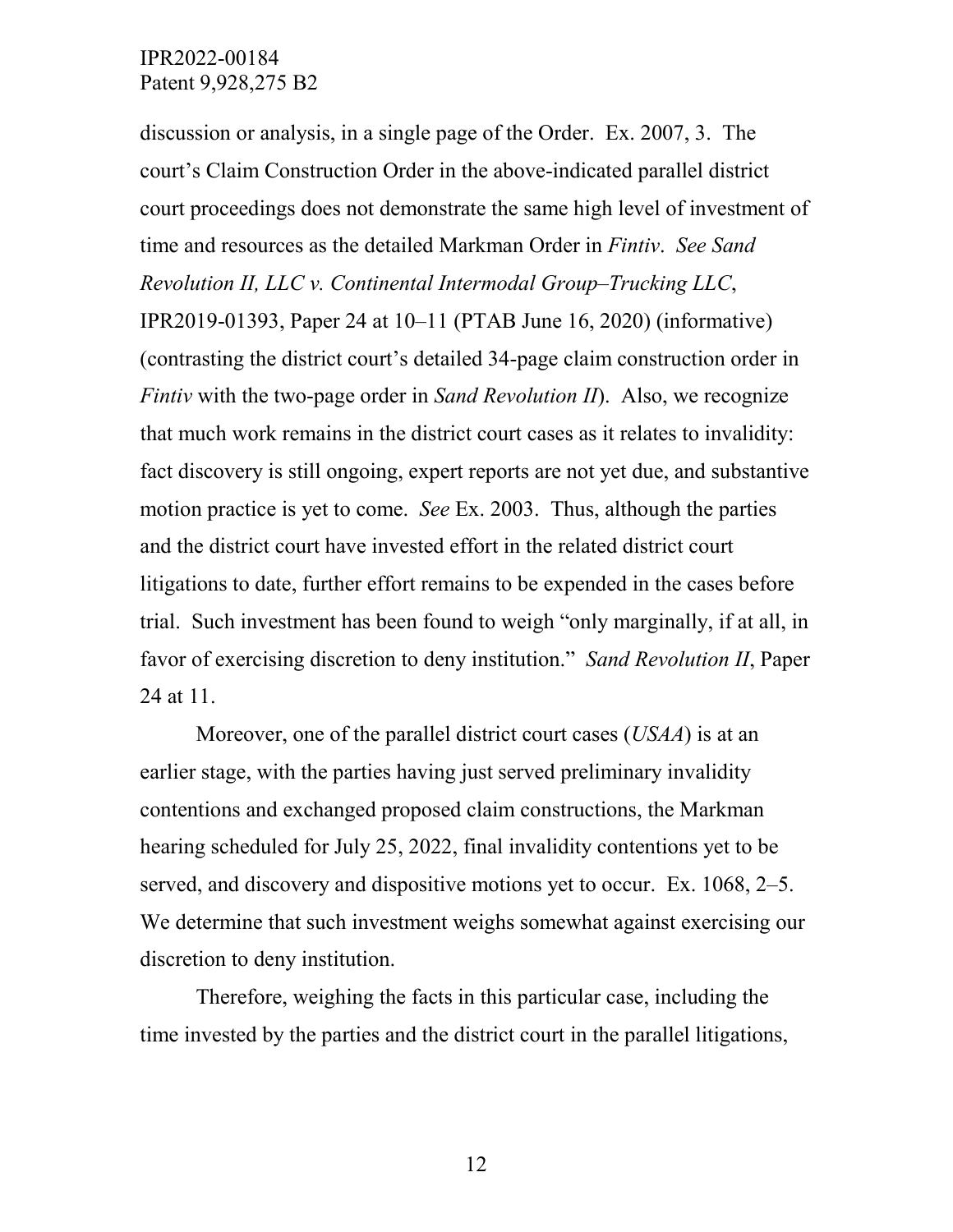discussion or analysis, in a single page of the Order. Ex. 2007, 3. The court's Claim Construction Order in the above-indicated parallel district court proceedings does not demonstrate the same high level of investment of time and resources as the detailed Markman Order in *Fintiv*. *See Sand Revolution II, LLC v. Continental Intermodal Group–Trucking LLC*, IPR2019-01393, Paper 24 at 10–11 (PTAB June 16, 2020) (informative) (contrasting the district court's detailed 34-page claim construction order in *Fintiv* with the two-page order in *Sand Revolution II*). Also, we recognize that much work remains in the district court cases as it relates to invalidity: fact discovery is still ongoing, expert reports are not yet due, and substantive motion practice is yet to come. *See* Ex. 2003. Thus, although the parties and the district court have invested effort in the related district court litigations to date, further effort remains to be expended in the cases before trial. Such investment has been found to weigh "only marginally, if at all, in favor of exercising discretion to deny institution." *Sand Revolution II*, Paper 24 at 11.

Moreover, one of the parallel district court cases (*USAA*) is at an earlier stage, with the parties having just served preliminary invalidity contentions and exchanged proposed claim constructions, the Markman hearing scheduled for July 25, 2022, final invalidity contentions yet to be served, and discovery and dispositive motions yet to occur. Ex. 1068, 2–5. We determine that such investment weighs somewhat against exercising our discretion to deny institution.

Therefore, weighing the facts in this particular case, including the time invested by the parties and the district court in the parallel litigations,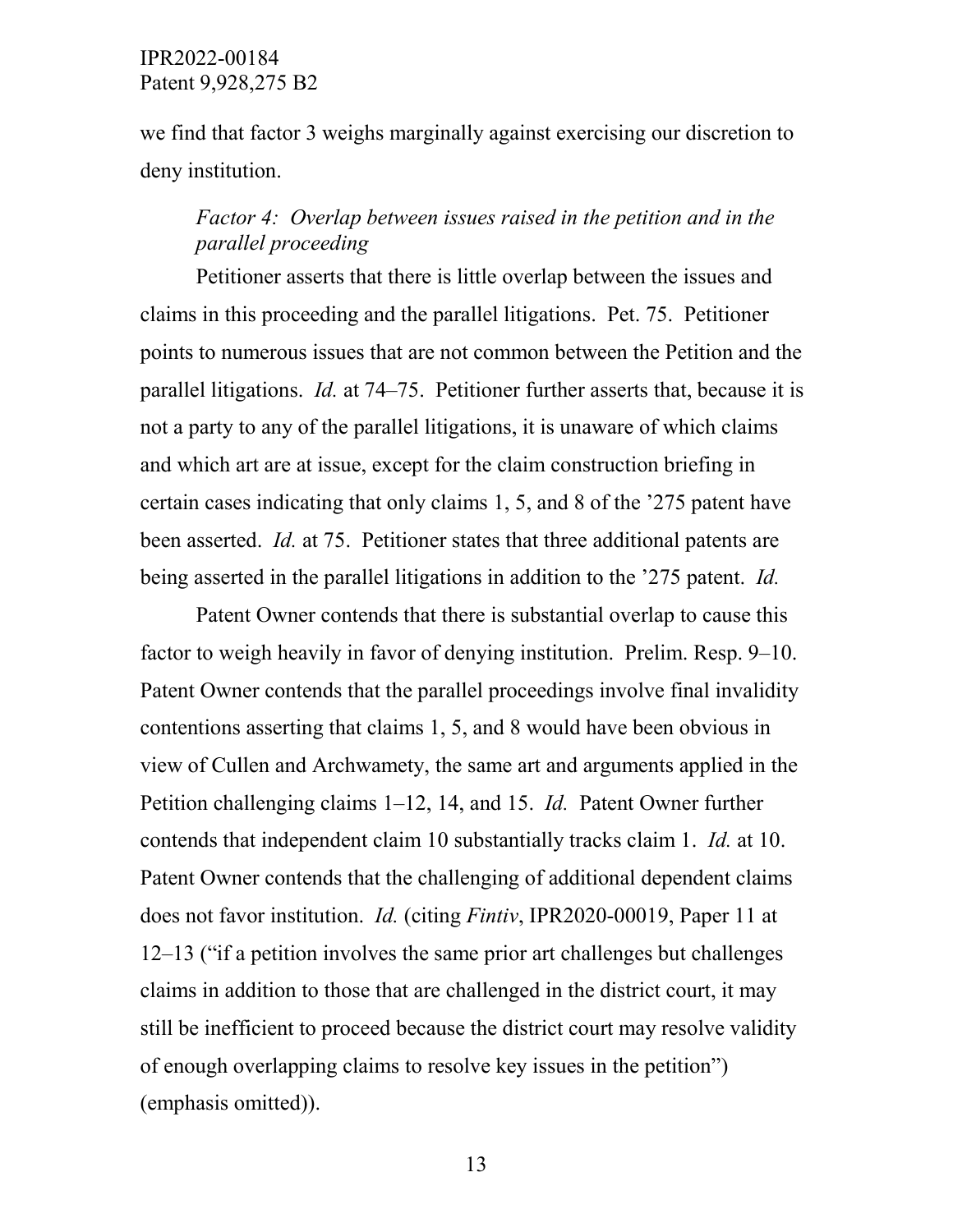we find that factor 3 weighs marginally against exercising our discretion to deny institution.

# *Factor 4: Overlap between issues raised in the petition and in the parallel proceeding*

Petitioner asserts that there is little overlap between the issues and claims in this proceeding and the parallel litigations. Pet. 75. Petitioner points to numerous issues that are not common between the Petition and the parallel litigations. *Id.* at 74–75. Petitioner further asserts that, because it is not a party to any of the parallel litigations, it is unaware of which claims and which art are at issue, except for the claim construction briefing in certain cases indicating that only claims 1, 5, and 8 of the '275 patent have been asserted. *Id.* at 75. Petitioner states that three additional patents are being asserted in the parallel litigations in addition to the '275 patent. *Id.*

Patent Owner contends that there is substantial overlap to cause this factor to weigh heavily in favor of denying institution. Prelim. Resp. 9–10. Patent Owner contends that the parallel proceedings involve final invalidity contentions asserting that claims 1, 5, and 8 would have been obvious in view of Cullen and Archwamety, the same art and arguments applied in the Petition challenging claims 1–12, 14, and 15. *Id.* Patent Owner further contends that independent claim 10 substantially tracks claim 1. *Id.* at 10. Patent Owner contends that the challenging of additional dependent claims does not favor institution. *Id.* (citing *Fintiv*, IPR2020-00019, Paper 11 at 12–13 ("if a petition involves the same prior art challenges but challenges claims in addition to those that are challenged in the district court, it may still be inefficient to proceed because the district court may resolve validity of enough overlapping claims to resolve key issues in the petition") (emphasis omitted)).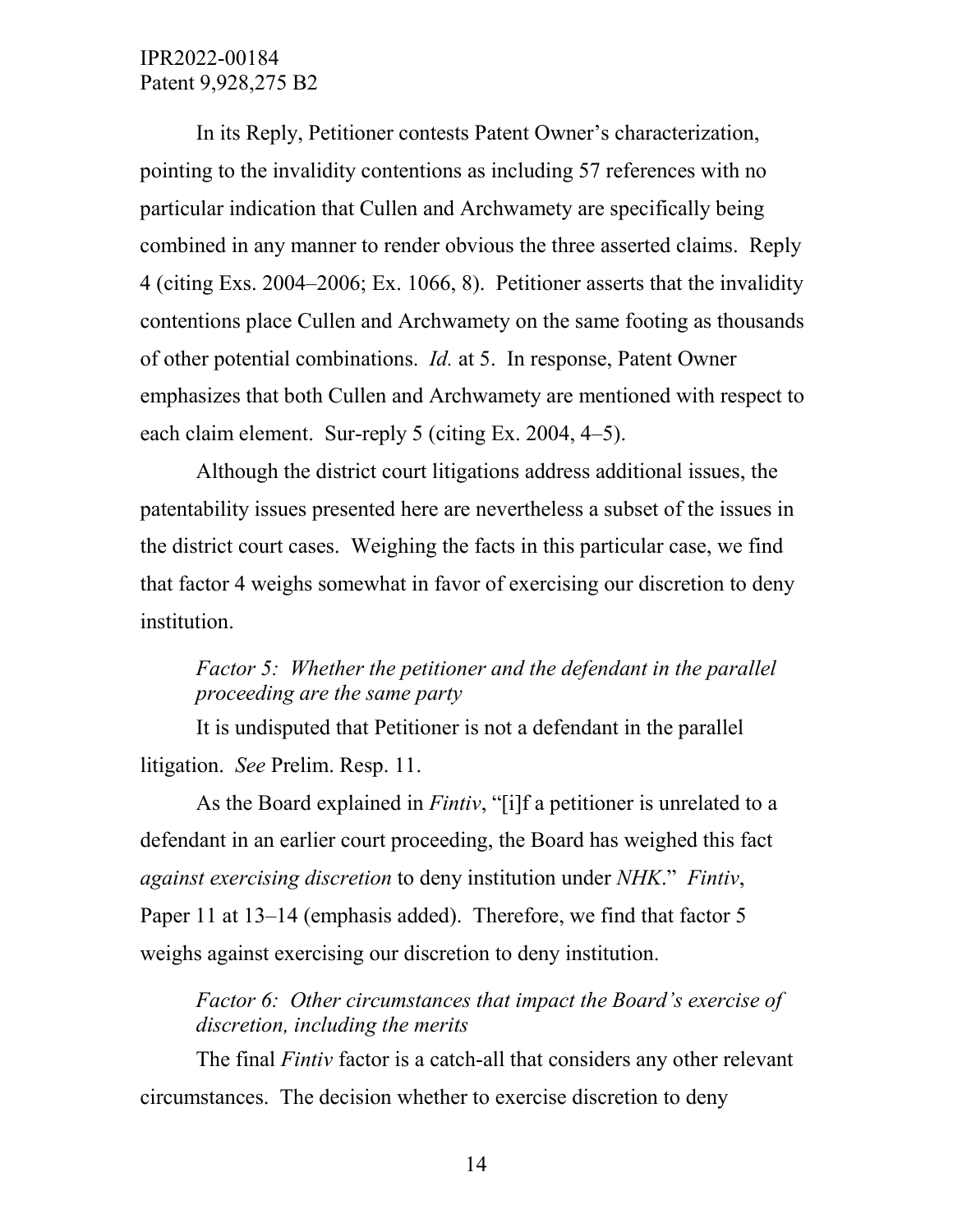In its Reply, Petitioner contests Patent Owner's characterization, pointing to the invalidity contentions as including 57 references with no particular indication that Cullen and Archwamety are specifically being combined in any manner to render obvious the three asserted claims. Reply 4 (citing Exs. 2004–2006; Ex. 1066, 8). Petitioner asserts that the invalidity contentions place Cullen and Archwamety on the same footing as thousands of other potential combinations. *Id.* at 5. In response, Patent Owner emphasizes that both Cullen and Archwamety are mentioned with respect to each claim element. Sur-reply 5 (citing Ex. 2004, 4–5).

Although the district court litigations address additional issues, the patentability issues presented here are nevertheless a subset of the issues in the district court cases. Weighing the facts in this particular case, we find that factor 4 weighs somewhat in favor of exercising our discretion to deny institution.

# *Factor 5: Whether the petitioner and the defendant in the parallel proceeding are the same party*

It is undisputed that Petitioner is not a defendant in the parallel litigation. *See* Prelim. Resp. 11.

As the Board explained in *Fintiv*, "[i]f a petitioner is unrelated to a defendant in an earlier court proceeding, the Board has weighed this fact *against exercising discretion* to deny institution under *NHK*." *Fintiv*, Paper 11 at 13–14 (emphasis added). Therefore, we find that factor 5 weighs against exercising our discretion to deny institution.

*Factor 6: Other circumstances that impact the Board's exercise of discretion, including the merits*

The final *Fintiv* factor is a catch-all that considers any other relevant circumstances. The decision whether to exercise discretion to deny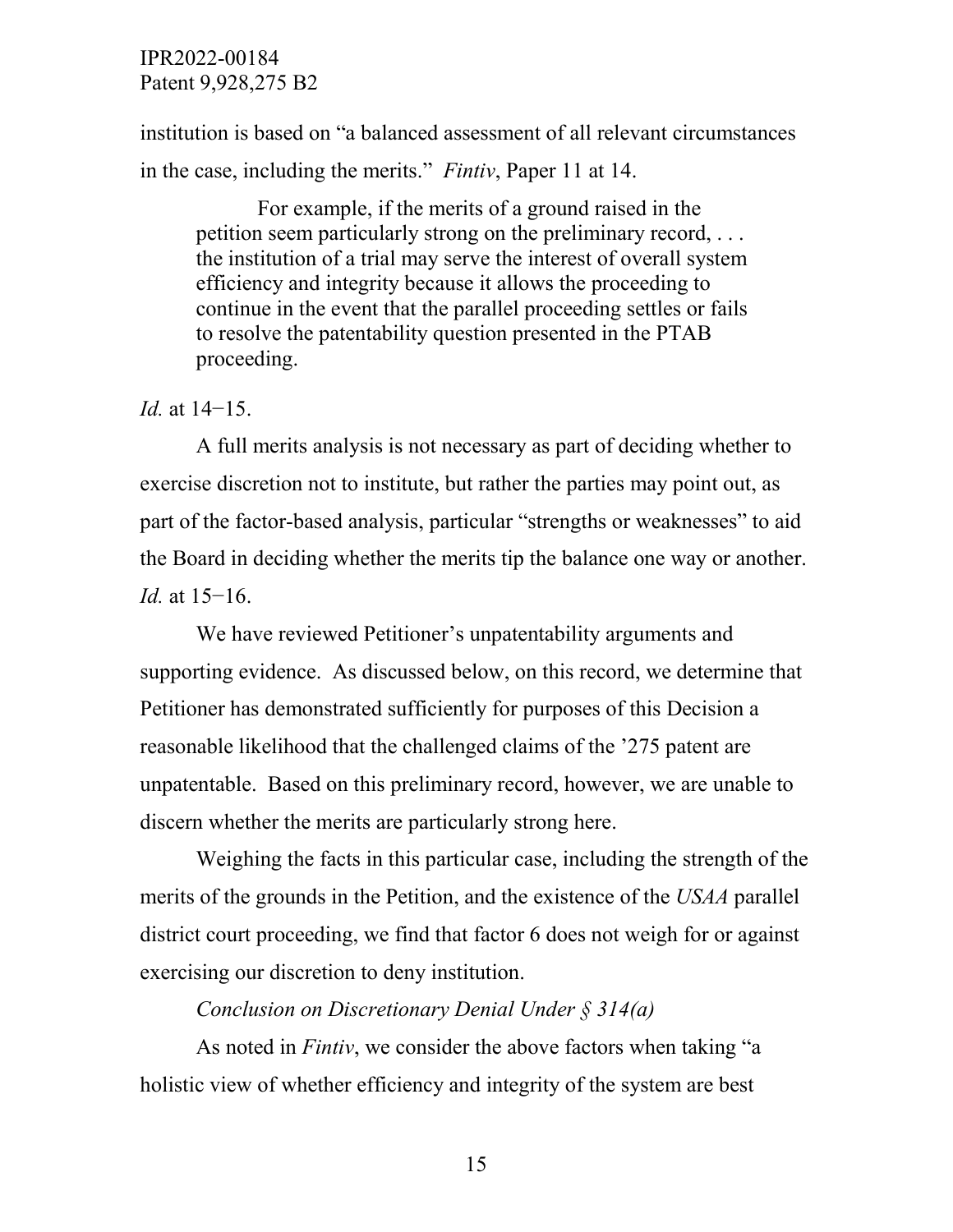institution is based on "a balanced assessment of all relevant circumstances in the case, including the merits." *Fintiv*, Paper 11 at 14.

For example, if the merits of a ground raised in the petition seem particularly strong on the preliminary record, . . . the institution of a trial may serve the interest of overall system efficiency and integrity because it allows the proceeding to continue in the event that the parallel proceeding settles or fails to resolve the patentability question presented in the PTAB proceeding.

#### *Id.* at 14−15.

A full merits analysis is not necessary as part of deciding whether to exercise discretion not to institute, but rather the parties may point out, as part of the factor-based analysis, particular "strengths or weaknesses" to aid the Board in deciding whether the merits tip the balance one way or another. *Id.* at 15–16.

We have reviewed Petitioner's unpatentability arguments and supporting evidence. As discussed below, on this record, we determine that Petitioner has demonstrated sufficiently for purposes of this Decision a reasonable likelihood that the challenged claims of the '275 patent are unpatentable. Based on this preliminary record, however, we are unable to discern whether the merits are particularly strong here.

Weighing the facts in this particular case, including the strength of the merits of the grounds in the Petition, and the existence of the *USAA* parallel district court proceeding, we find that factor 6 does not weigh for or against exercising our discretion to deny institution.

#### *Conclusion on Discretionary Denial Under § 314(a)*

As noted in *Fintiv*, we consider the above factors when taking "a holistic view of whether efficiency and integrity of the system are best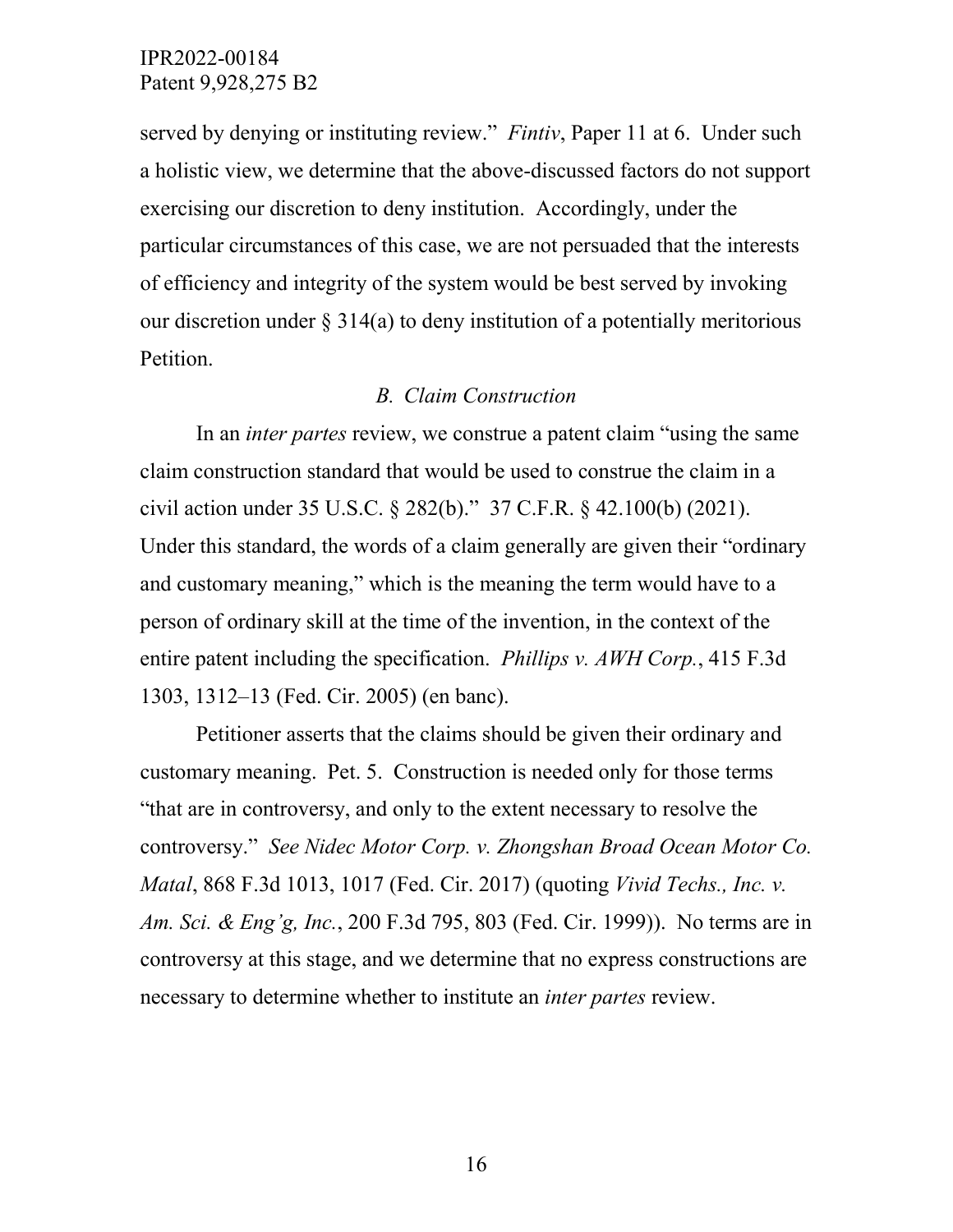served by denying or instituting review." *Fintiv*, Paper 11 at 6. Under such a holistic view, we determine that the above-discussed factors do not support exercising our discretion to deny institution. Accordingly, under the particular circumstances of this case, we are not persuaded that the interests of efficiency and integrity of the system would be best served by invoking our discretion under  $\S 314(a)$  to deny institution of a potentially meritorious Petition.

#### *B. Claim Construction*

In an *inter partes* review, we construe a patent claim "using the same claim construction standard that would be used to construe the claim in a civil action under 35 U.S.C. § 282(b)." 37 C.F.R. § 42.100(b) (2021). Under this standard, the words of a claim generally are given their "ordinary and customary meaning," which is the meaning the term would have to a person of ordinary skill at the time of the invention, in the context of the entire patent including the specification. *Phillips v. AWH Corp.*, 415 F.3d 1303, 1312–13 (Fed. Cir. 2005) (en banc).

Petitioner asserts that the claims should be given their ordinary and customary meaning. Pet. 5. Construction is needed only for those terms "that are in controversy, and only to the extent necessary to resolve the controversy." *See Nidec Motor Corp. v. Zhongshan Broad Ocean Motor Co. Matal*, 868 F.3d 1013, 1017 (Fed. Cir. 2017) (quoting *Vivid Techs., Inc. v. Am. Sci. & Eng'g, Inc.*, 200 F.3d 795, 803 (Fed. Cir. 1999)). No terms are in controversy at this stage, and we determine that no express constructions are necessary to determine whether to institute an *inter partes* review.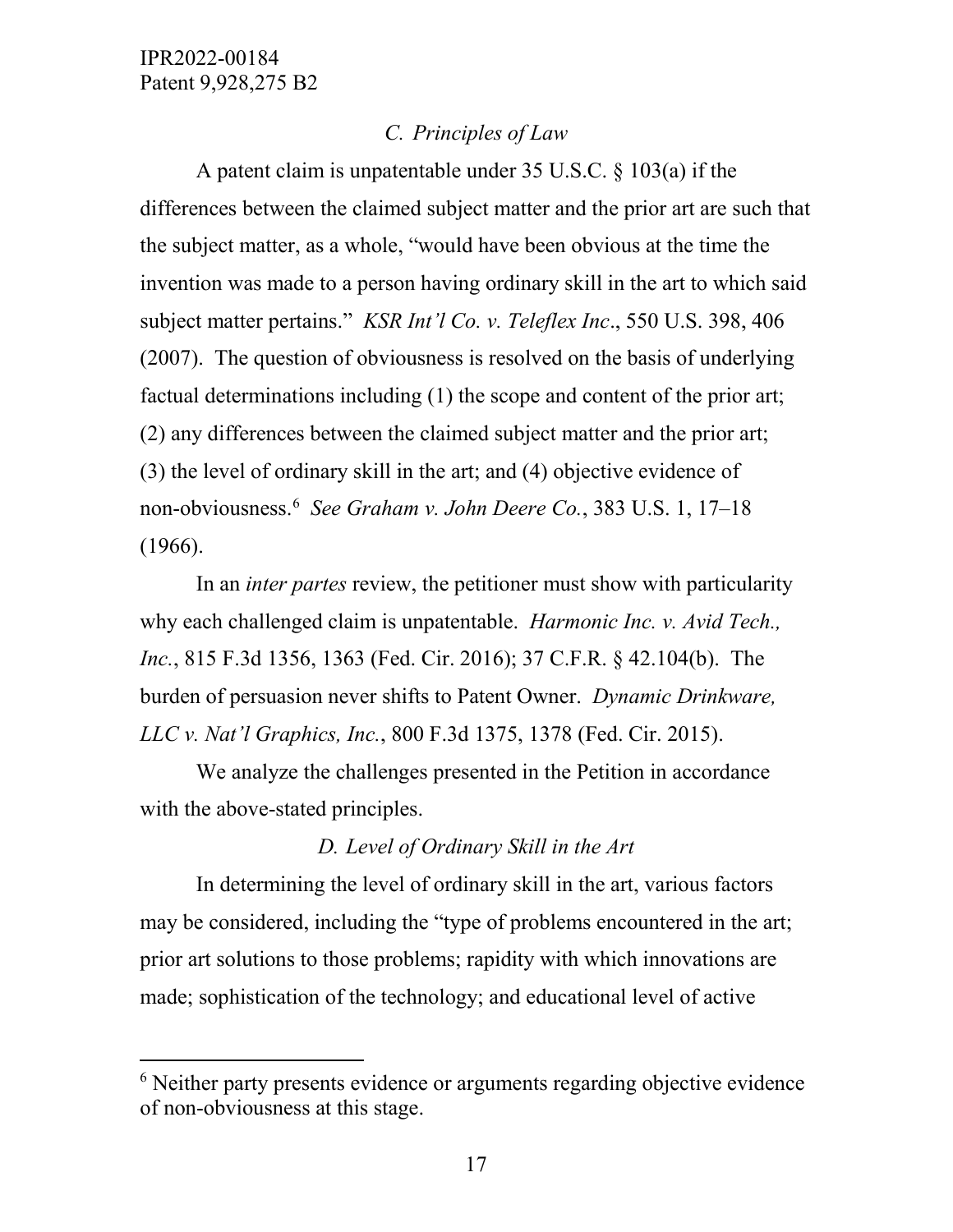# *C. Principles of Law*

A patent claim is unpatentable under 35 U.S.C. § 103(a) if the differences between the claimed subject matter and the prior art are such that the subject matter, as a whole, "would have been obvious at the time the invention was made to a person having ordinary skill in the art to which said subject matter pertains." *KSR Int'l Co. v. Teleflex Inc*., 550 U.S. 398, 406 (2007). The question of obviousness is resolved on the basis of underlying factual determinations including (1) the scope and content of the prior art; (2) any differences between the claimed subject matter and the prior art; (3) the level of ordinary skill in the art; and (4) objective evidence of non-obviousness.[6](#page-16-0) *See Graham v. John Deere Co.*, 383 U.S. 1, 17–18 (1966).

In an *inter partes* review, the petitioner must show with particularity why each challenged claim is unpatentable. *Harmonic Inc. v. Avid Tech., Inc.*, 815 F.3d 1356, 1363 (Fed. Cir. 2016); 37 C.F.R. § 42.104(b). The burden of persuasion never shifts to Patent Owner. *Dynamic Drinkware, LLC v. Nat'l Graphics, Inc.*, 800 F.3d 1375, 1378 (Fed. Cir. 2015).

We analyze the challenges presented in the Petition in accordance with the above-stated principles.

## *D. Level of Ordinary Skill in the Art*

In determining the level of ordinary skill in the art, various factors may be considered, including the "type of problems encountered in the art; prior art solutions to those problems; rapidity with which innovations are made; sophistication of the technology; and educational level of active

<span id="page-16-0"></span><sup>&</sup>lt;sup>6</sup> Neither party presents evidence or arguments regarding objective evidence of non-obviousness at this stage.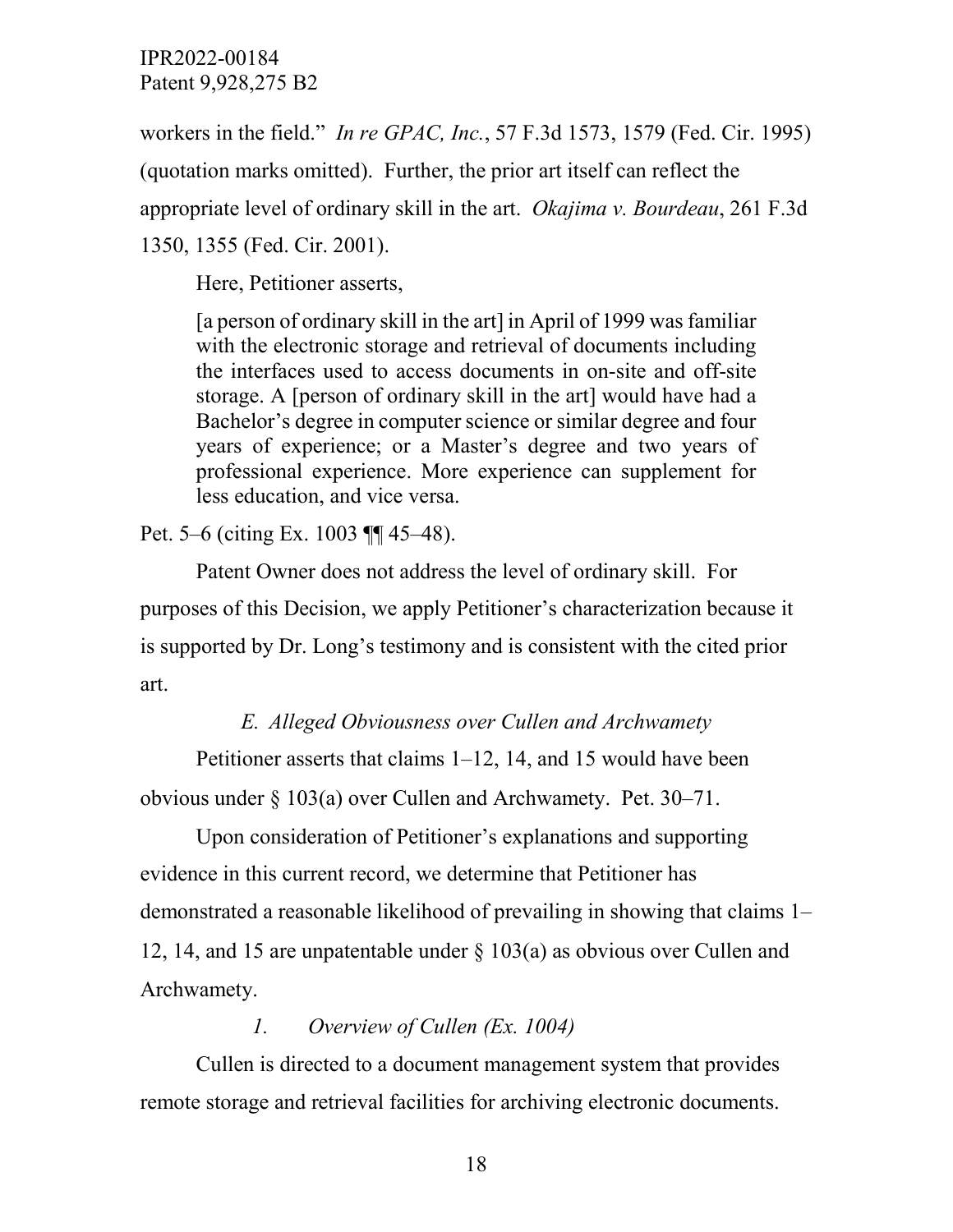workers in the field." *In re GPAC, Inc.*, 57 F.3d 1573, 1579 (Fed. Cir. 1995) (quotation marks omitted). Further, the prior art itself can reflect the appropriate level of ordinary skill in the art. *Okajima v. Bourdeau*, 261 F.3d 1350, 1355 (Fed. Cir. 2001).

Here, Petitioner asserts,

[a person of ordinary skill in the art] in April of 1999 was familiar with the electronic storage and retrieval of documents including the interfaces used to access documents in on-site and off-site storage. A [person of ordinary skill in the art] would have had a Bachelor's degree in computer science or similar degree and four years of experience; or a Master's degree and two years of professional experience. More experience can supplement for less education, and vice versa.

# Pet. 5–6 (citing Ex. 1003 ¶¶ 45–48).

Patent Owner does not address the level of ordinary skill. For purposes of this Decision, we apply Petitioner's characterization because it is supported by Dr. Long's testimony and is consistent with the cited prior art.

# *E. Alleged Obviousness over Cullen and Archwamety*

Petitioner asserts that claims 1–12, 14, and 15 would have been obvious under § 103(a) over Cullen and Archwamety. Pet. 30–71.

Upon consideration of Petitioner's explanations and supporting evidence in this current record, we determine that Petitioner has demonstrated a reasonable likelihood of prevailing in showing that claims 1– 12, 14, and 15 are unpatentable under § 103(a) as obvious over Cullen and Archwamety.

# *1. Overview of Cullen (Ex. 1004)*

Cullen is directed to a document management system that provides remote storage and retrieval facilities for archiving electronic documents.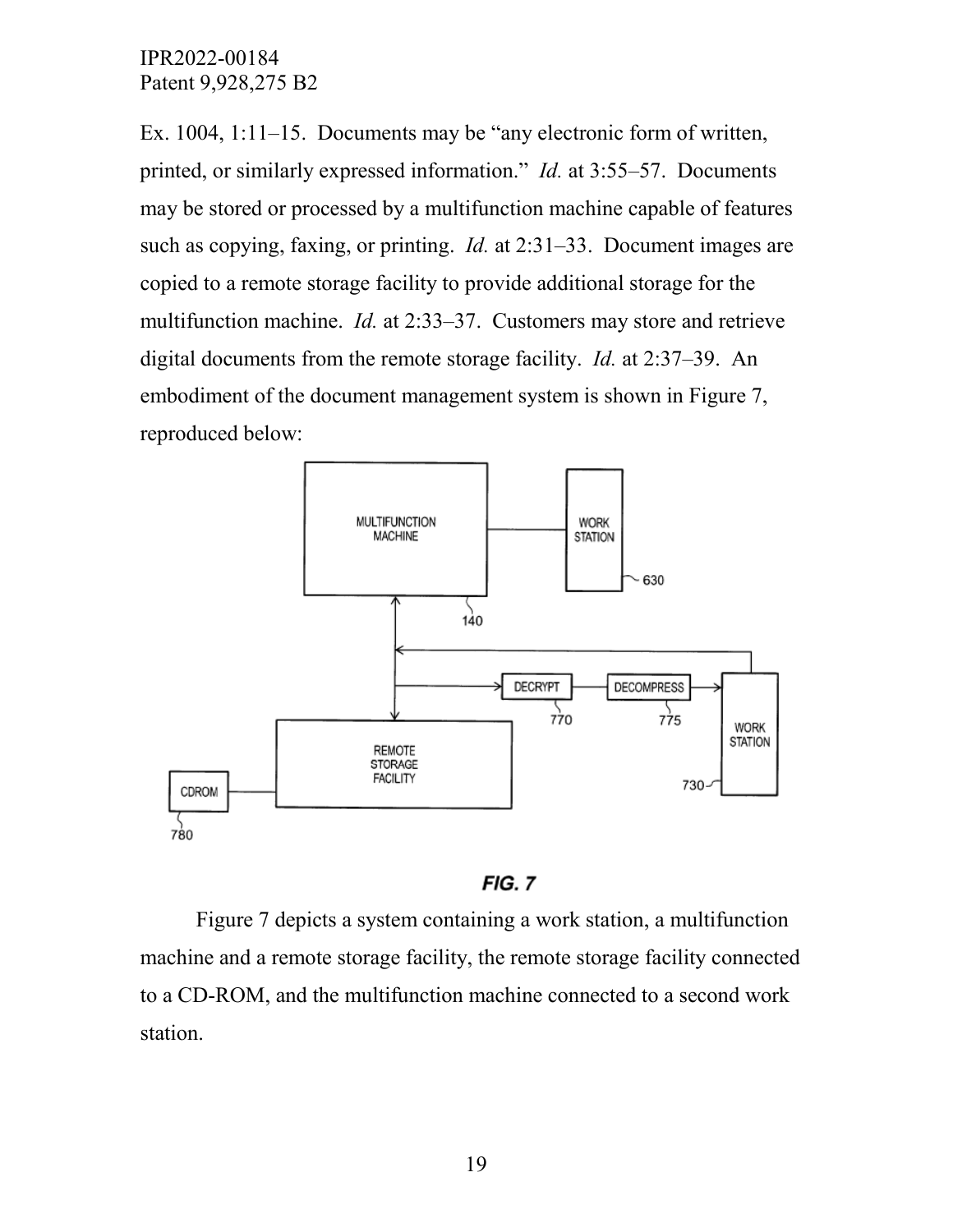Ex. 1004, 1:11–15. Documents may be "any electronic form of written, printed, or similarly expressed information." *Id.* at 3:55–57. Documents may be stored or processed by a multifunction machine capable of features such as copying, faxing, or printing. *Id.* at 2:31–33. Document images are copied to a remote storage facility to provide additional storage for the multifunction machine. *Id.* at 2:33–37. Customers may store and retrieve digital documents from the remote storage facility. *Id.* at 2:37–39. An embodiment of the document management system is shown in Figure 7, reproduced below:



 $FIG. 7$ 

Figure 7 depicts a system containing a work station, a multifunction machine and a remote storage facility, the remote storage facility connected to a CD-ROM, and the multifunction machine connected to a second work station.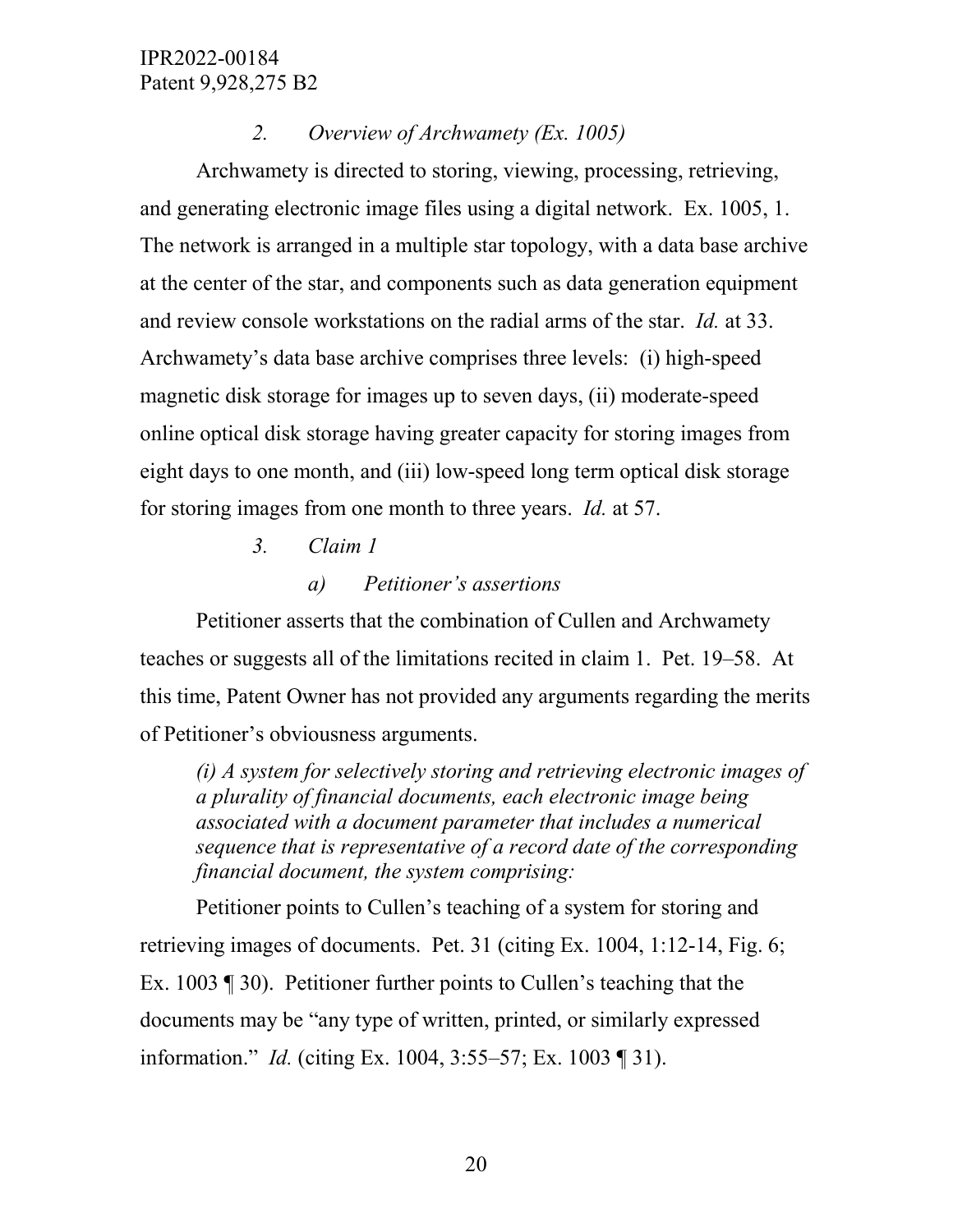# *2. Overview of Archwamety (Ex. 1005)*

Archwamety is directed to storing, viewing, processing, retrieving, and generating electronic image files using a digital network. Ex. 1005, 1. The network is arranged in a multiple star topology, with a data base archive at the center of the star, and components such as data generation equipment and review console workstations on the radial arms of the star. *Id.* at 33. Archwamety's data base archive comprises three levels: (i) high-speed magnetic disk storage for images up to seven days, (ii) moderate-speed online optical disk storage having greater capacity for storing images from eight days to one month, and (iii) low-speed long term optical disk storage for storing images from one month to three years. *Id.* at 57.

- *3. Claim 1*
	- *a) Petitioner's assertions*

Petitioner asserts that the combination of Cullen and Archwamety teaches or suggests all of the limitations recited in claim 1. Pet. 19–58. At this time, Patent Owner has not provided any arguments regarding the merits of Petitioner's obviousness arguments.

*(i) A system for selectively storing and retrieving electronic images of a plurality of financial documents, each electronic image being associated with a document parameter that includes a numerical sequence that is representative of a record date of the corresponding financial document, the system comprising:*

Petitioner points to Cullen's teaching of a system for storing and retrieving images of documents. Pet. 31 (citing Ex. 1004, 1:12-14, Fig. 6; Ex. 1003 ¶ 30). Petitioner further points to Cullen's teaching that the documents may be "any type of written, printed, or similarly expressed information." *Id.* (citing Ex. 1004, 3:55–57; Ex. 1003 ¶ 31).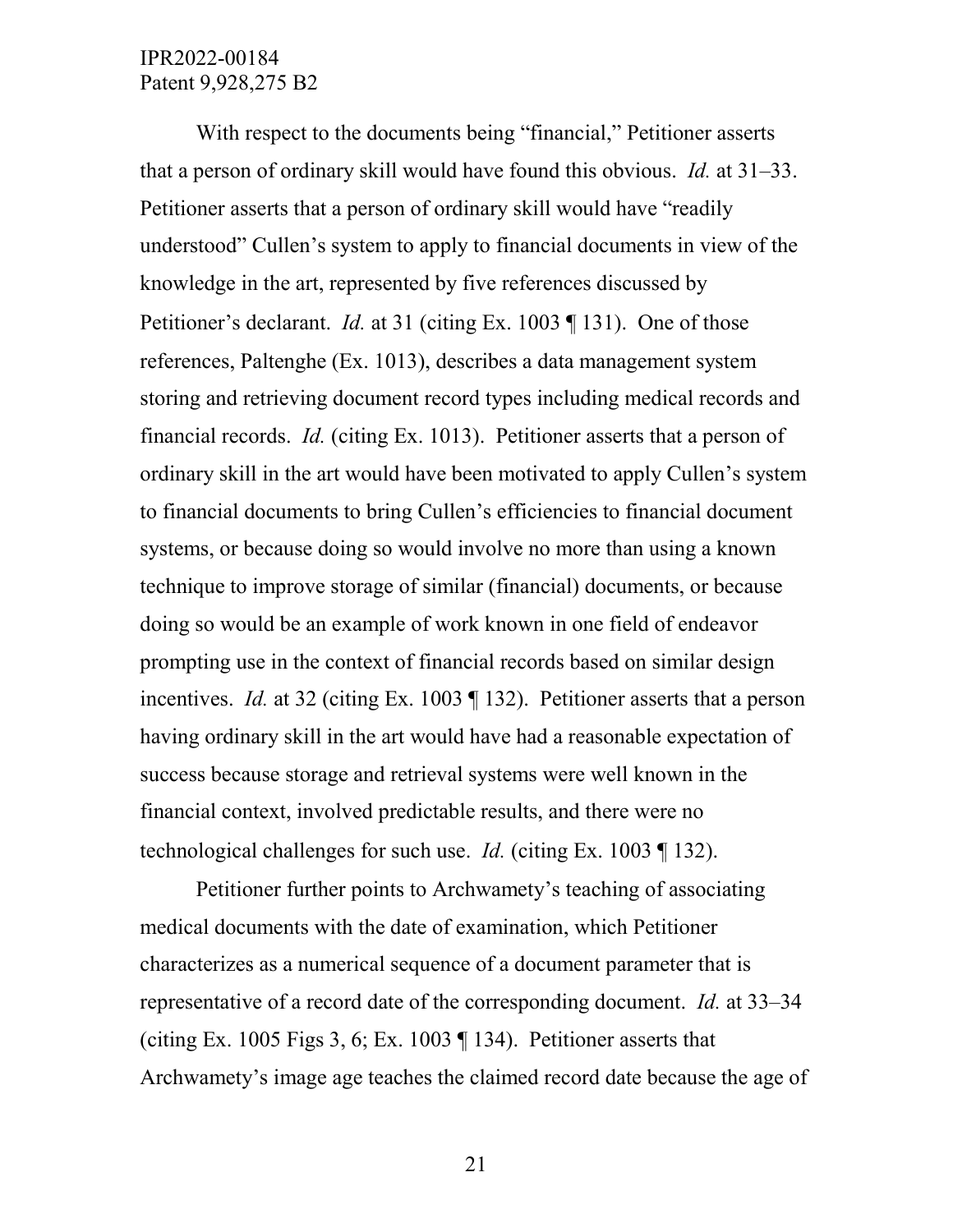With respect to the documents being "financial," Petitioner asserts that a person of ordinary skill would have found this obvious. *Id.* at 31–33. Petitioner asserts that a person of ordinary skill would have "readily understood" Cullen's system to apply to financial documents in view of the knowledge in the art, represented by five references discussed by Petitioner's declarant. *Id.* at 31 (citing Ex. 1003 ¶ 131). One of those references, Paltenghe (Ex. 1013), describes a data management system storing and retrieving document record types including medical records and financial records. *Id.* (citing Ex. 1013). Petitioner asserts that a person of ordinary skill in the art would have been motivated to apply Cullen's system to financial documents to bring Cullen's efficiencies to financial document systems, or because doing so would involve no more than using a known technique to improve storage of similar (financial) documents, or because doing so would be an example of work known in one field of endeavor prompting use in the context of financial records based on similar design incentives. *Id.* at 32 (citing Ex. 1003 ¶ 132). Petitioner asserts that a person having ordinary skill in the art would have had a reasonable expectation of success because storage and retrieval systems were well known in the financial context, involved predictable results, and there were no technological challenges for such use. *Id.* (citing Ex. 1003 ¶ 132).

Petitioner further points to Archwamety's teaching of associating medical documents with the date of examination, which Petitioner characterizes as a numerical sequence of a document parameter that is representative of a record date of the corresponding document. *Id.* at 33–34 (citing Ex. 1005 Figs 3, 6; Ex. 1003  $\P$  134). Petitioner asserts that Archwamety's image age teaches the claimed record date because the age of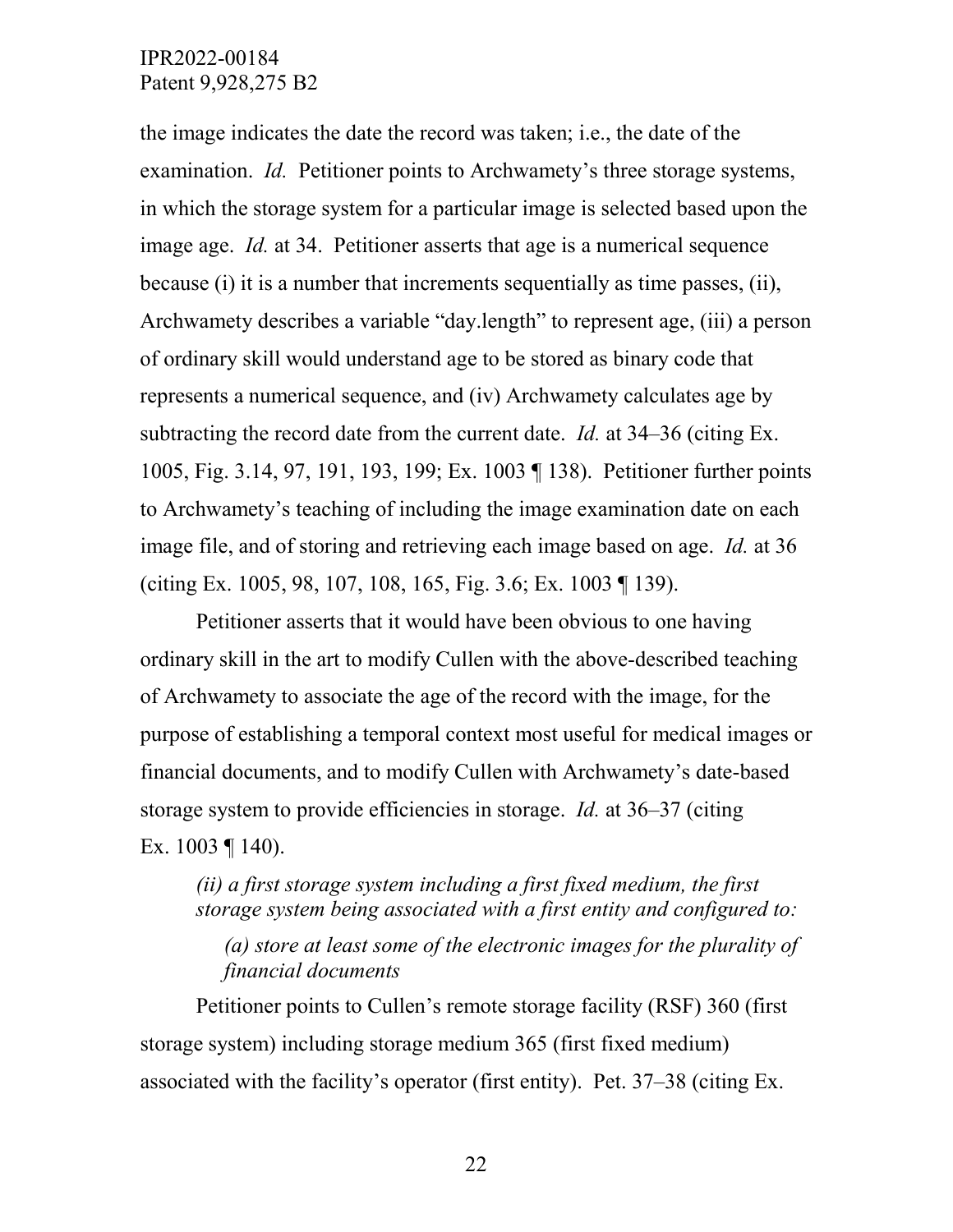the image indicates the date the record was taken; i.e., the date of the examination. *Id.* Petitioner points to Archwamety's three storage systems, in which the storage system for a particular image is selected based upon the image age. *Id.* at 34. Petitioner asserts that age is a numerical sequence because (i) it is a number that increments sequentially as time passes, (ii), Archwamety describes a variable "day.length" to represent age, (iii) a person of ordinary skill would understand age to be stored as binary code that represents a numerical sequence, and (iv) Archwamety calculates age by subtracting the record date from the current date. *Id.* at 34–36 (citing Ex. 1005, Fig. 3.14, 97, 191, 193, 199; Ex. 1003 ¶ 138). Petitioner further points to Archwamety's teaching of including the image examination date on each image file, and of storing and retrieving each image based on age. *Id.* at 36 (citing Ex. 1005, 98, 107, 108, 165, Fig. 3.6; Ex. 1003 ¶ 139).

Petitioner asserts that it would have been obvious to one having ordinary skill in the art to modify Cullen with the above-described teaching of Archwamety to associate the age of the record with the image, for the purpose of establishing a temporal context most useful for medical images or financial documents, and to modify Cullen with Archwamety's date-based storage system to provide efficiencies in storage. *Id.* at 36–37 (citing Ex. 1003 ¶ 140).

# *(ii) a first storage system including a first fixed medium, the first storage system being associated with a first entity and configured to:*

*(a) store at least some of the electronic images for the plurality of financial documents* 

Petitioner points to Cullen's remote storage facility (RSF) 360 (first storage system) including storage medium 365 (first fixed medium) associated with the facility's operator (first entity). Pet. 37–38 (citing Ex.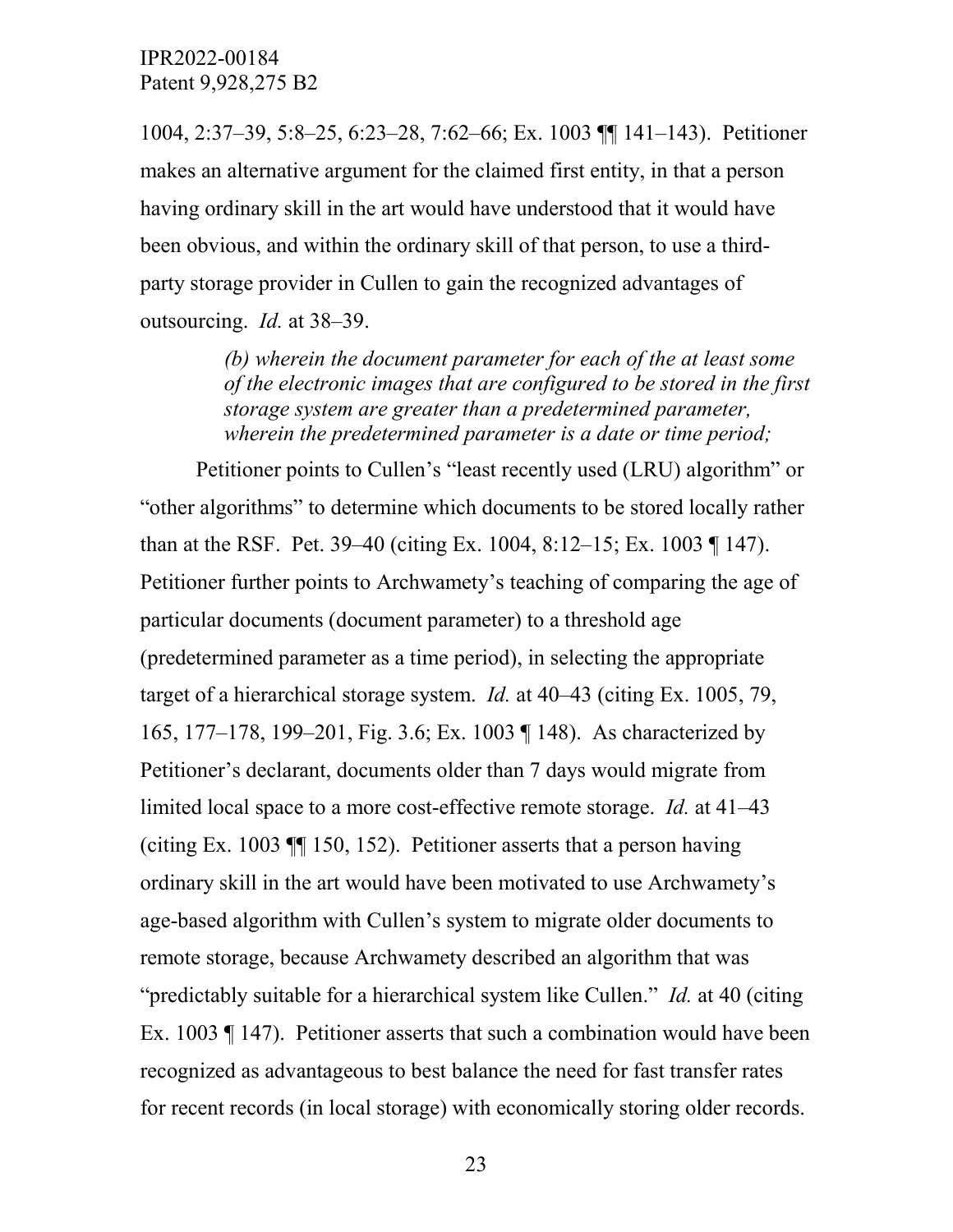1004, 2:37–39, 5:8–25, 6:23–28, 7:62–66; Ex. 1003 ¶¶ 141–143). Petitioner makes an alternative argument for the claimed first entity, in that a person having ordinary skill in the art would have understood that it would have been obvious, and within the ordinary skill of that person, to use a thirdparty storage provider in Cullen to gain the recognized advantages of outsourcing. *Id.* at 38–39.

> *(b) wherein the document parameter for each of the at least some of the electronic images that are configured to be stored in the first storage system are greater than a predetermined parameter, wherein the predetermined parameter is a date or time period;*

Petitioner points to Cullen's "least recently used (LRU) algorithm" or "other algorithms" to determine which documents to be stored locally rather than at the RSF. Pet. 39–40 (citing Ex. 1004, 8:12–15; Ex. 1003 ¶ 147). Petitioner further points to Archwamety's teaching of comparing the age of particular documents (document parameter) to a threshold age (predetermined parameter as a time period), in selecting the appropriate target of a hierarchical storage system. *Id.* at 40–43 (citing Ex. 1005, 79, 165, 177–178, 199–201, Fig. 3.6; Ex. 1003 ¶ 148). As characterized by Petitioner's declarant, documents older than 7 days would migrate from limited local space to a more cost-effective remote storage. *Id.* at 41–43 (citing Ex. 1003 ¶¶ 150, 152). Petitioner asserts that a person having ordinary skill in the art would have been motivated to use Archwamety's age-based algorithm with Cullen's system to migrate older documents to remote storage, because Archwamety described an algorithm that was "predictably suitable for a hierarchical system like Cullen." *Id.* at 40 (citing Ex. 1003 ¶ 147). Petitioner asserts that such a combination would have been recognized as advantageous to best balance the need for fast transfer rates for recent records (in local storage) with economically storing older records.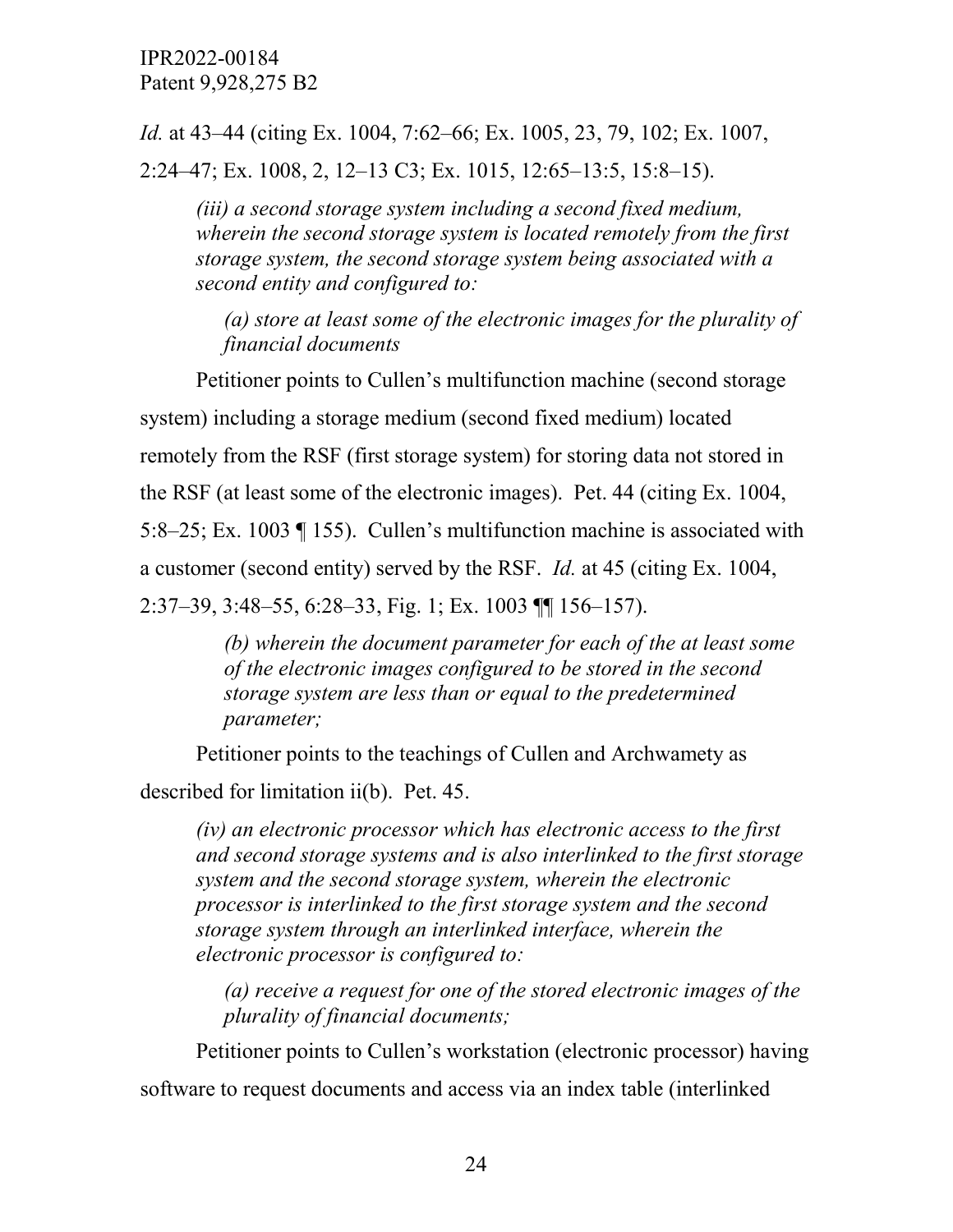*Id.* at 43–44 (citing Ex. 1004, 7:62–66; Ex. 1005, 23, 79, 102; Ex. 1007, 2:24–47; Ex. 1008, 2, 12–13 C3; Ex. 1015, 12:65–13:5, 15:8–15).

*(iii) a second storage system including a second fixed medium, wherein the second storage system is located remotely from the first storage system, the second storage system being associated with a second entity and configured to:* 

*(a) store at least some of the electronic images for the plurality of financial documents*

Petitioner points to Cullen's multifunction machine (second storage system) including a storage medium (second fixed medium) located remotely from the RSF (first storage system) for storing data not stored in the RSF (at least some of the electronic images). Pet. 44 (citing Ex. 1004, 5:8–25; Ex. 1003 ¶ 155). Cullen's multifunction machine is associated with a customer (second entity) served by the RSF. *Id.* at 45 (citing Ex. 1004, 2:37–39, 3:48–55, 6:28–33, Fig. 1; Ex. 1003 ¶¶ 156–157).

> *(b) wherein the document parameter for each of the at least some of the electronic images configured to be stored in the second storage system are less than or equal to the predetermined parameter;*

Petitioner points to the teachings of Cullen and Archwamety as

described for limitation ii(b). Pet. 45.

*(iv) an electronic processor which has electronic access to the first and second storage systems and is also interlinked to the first storage system and the second storage system, wherein the electronic processor is interlinked to the first storage system and the second storage system through an interlinked interface, wherein the electronic processor is configured to:* 

*(a) receive a request for one of the stored electronic images of the plurality of financial documents;* 

Petitioner points to Cullen's workstation (electronic processor) having software to request documents and access via an index table (interlinked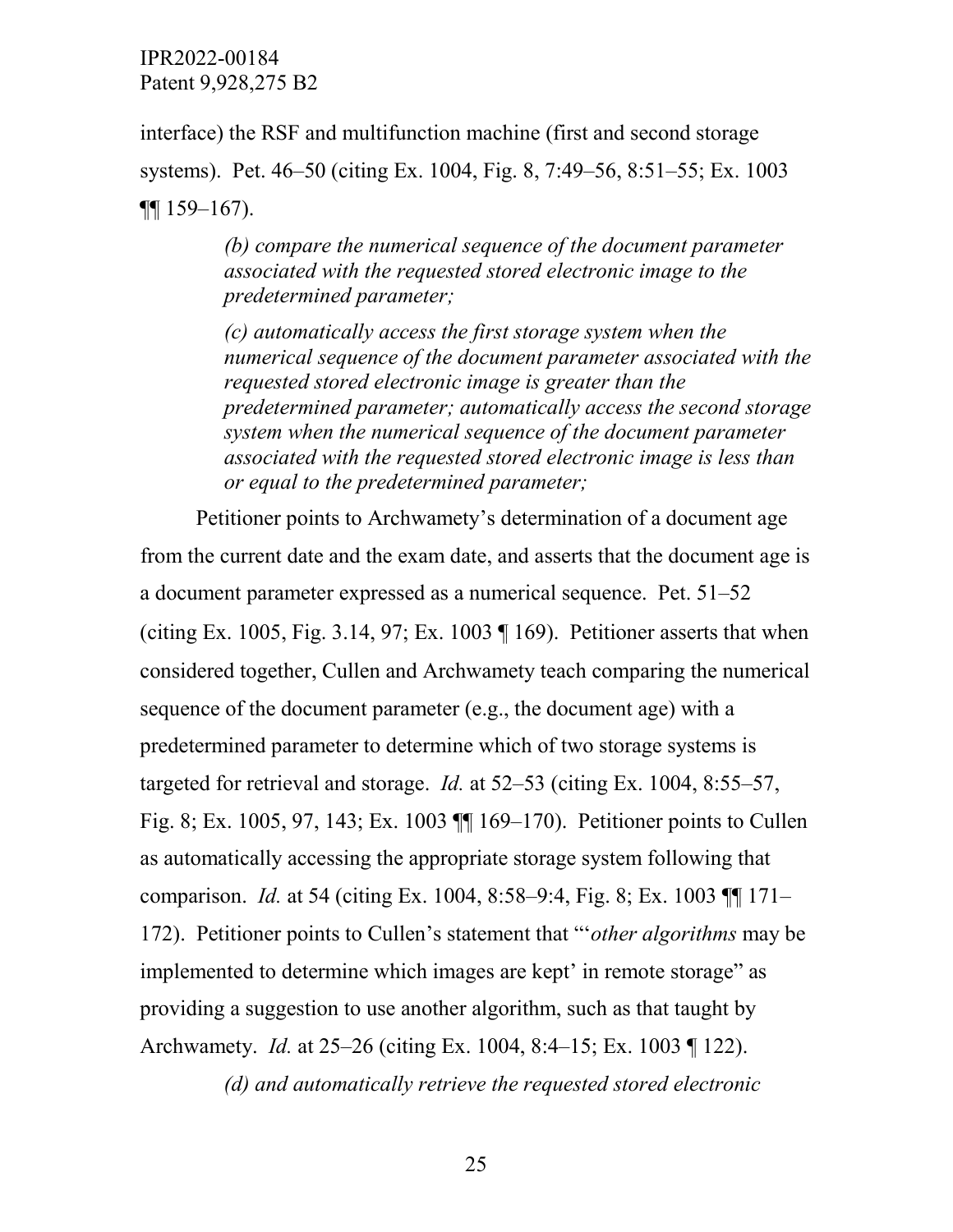interface) the RSF and multifunction machine (first and second storage systems). Pet. 46–50 (citing Ex. 1004, Fig. 8, 7:49–56, 8:51–55; Ex. 1003  $\P\P$  159–167).

> *(b) compare the numerical sequence of the document parameter associated with the requested stored electronic image to the predetermined parameter;*

*(c) automatically access the first storage system when the numerical sequence of the document parameter associated with the requested stored electronic image is greater than the predetermined parameter; automatically access the second storage system when the numerical sequence of the document parameter associated with the requested stored electronic image is less than or equal to the predetermined parameter;*

Petitioner points to Archwamety's determination of a document age from the current date and the exam date, and asserts that the document age is a document parameter expressed as a numerical sequence. Pet. 51–52 (citing Ex. 1005, Fig. 3.14, 97; Ex. 1003  $\P$  169). Petitioner asserts that when considered together, Cullen and Archwamety teach comparing the numerical sequence of the document parameter (e.g., the document age) with a predetermined parameter to determine which of two storage systems is targeted for retrieval and storage. *Id.* at 52–53 (citing Ex. 1004, 8:55–57, Fig. 8; Ex. 1005, 97, 143; Ex. 1003 ¶¶ 169–170). Petitioner points to Cullen as automatically accessing the appropriate storage system following that comparison. *Id.* at 54 (citing Ex. 1004, 8:58–9:4, Fig. 8; Ex. 1003 ¶¶ 171– 172). Petitioner points to Cullen's statement that "'*other algorithms* may be implemented to determine which images are kept' in remote storage" as providing a suggestion to use another algorithm, such as that taught by Archwamety. *Id.* at 25–26 (citing Ex. 1004, 8:4–15; Ex. 1003 ¶ 122).

*(d) and automatically retrieve the requested stored electronic*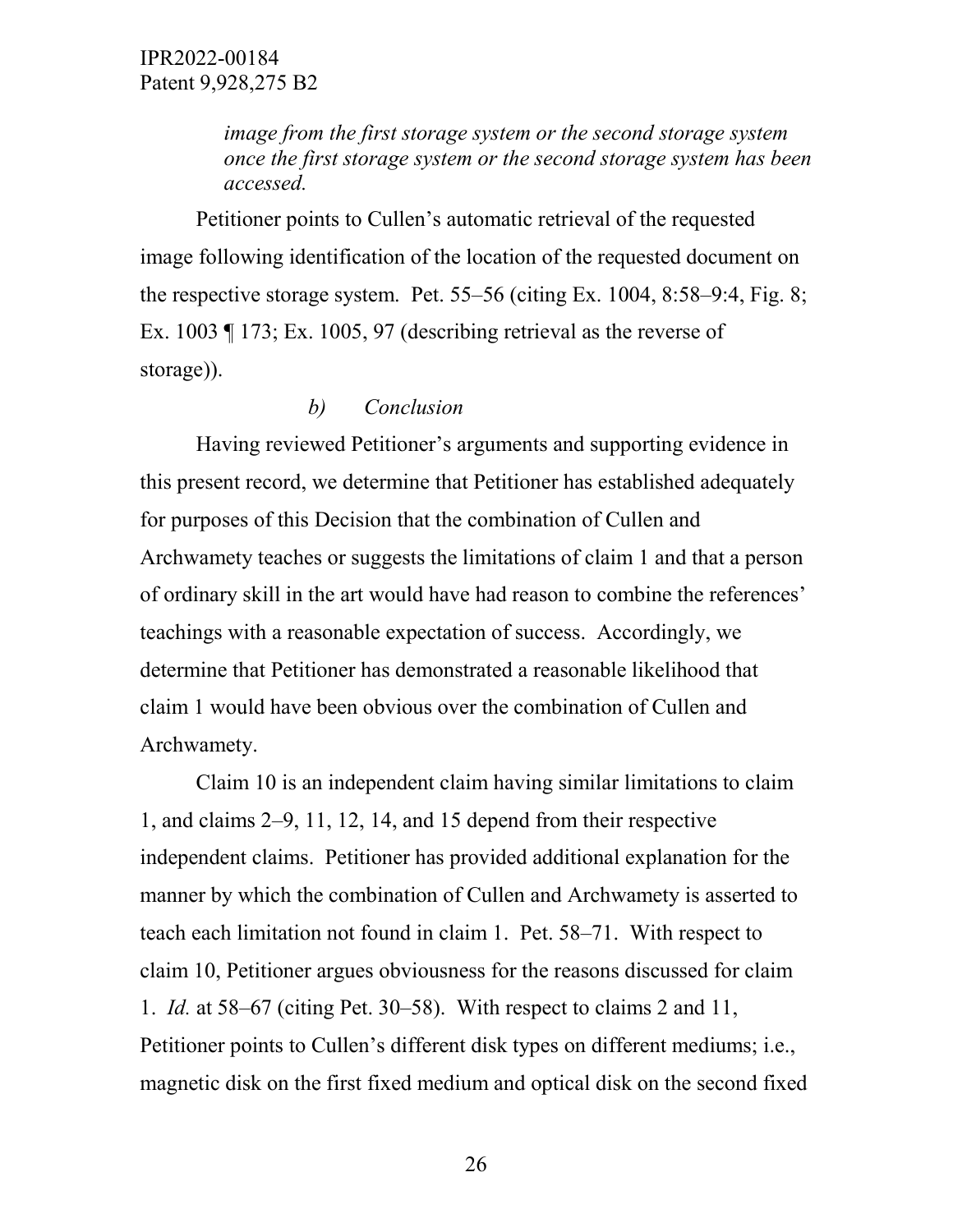*image from the first storage system or the second storage system once the first storage system or the second storage system has been accessed.*

Petitioner points to Cullen's automatic retrieval of the requested image following identification of the location of the requested document on the respective storage system. Pet. 55–56 (citing Ex. 1004, 8:58–9:4, Fig. 8; Ex. 1003 ¶ 173; Ex. 1005, 97 (describing retrieval as the reverse of storage)).

## *b) Conclusion*

Having reviewed Petitioner's arguments and supporting evidence in this present record, we determine that Petitioner has established adequately for purposes of this Decision that the combination of Cullen and Archwamety teaches or suggests the limitations of claim 1 and that a person of ordinary skill in the art would have had reason to combine the references' teachings with a reasonable expectation of success. Accordingly, we determine that Petitioner has demonstrated a reasonable likelihood that claim 1 would have been obvious over the combination of Cullen and Archwamety.

Claim 10 is an independent claim having similar limitations to claim 1, and claims 2–9, 11, 12, 14, and 15 depend from their respective independent claims. Petitioner has provided additional explanation for the manner by which the combination of Cullen and Archwamety is asserted to teach each limitation not found in claim 1. Pet. 58–71. With respect to claim 10, Petitioner argues obviousness for the reasons discussed for claim 1. *Id.* at 58–67 (citing Pet. 30–58). With respect to claims 2 and 11, Petitioner points to Cullen's different disk types on different mediums; i.e., magnetic disk on the first fixed medium and optical disk on the second fixed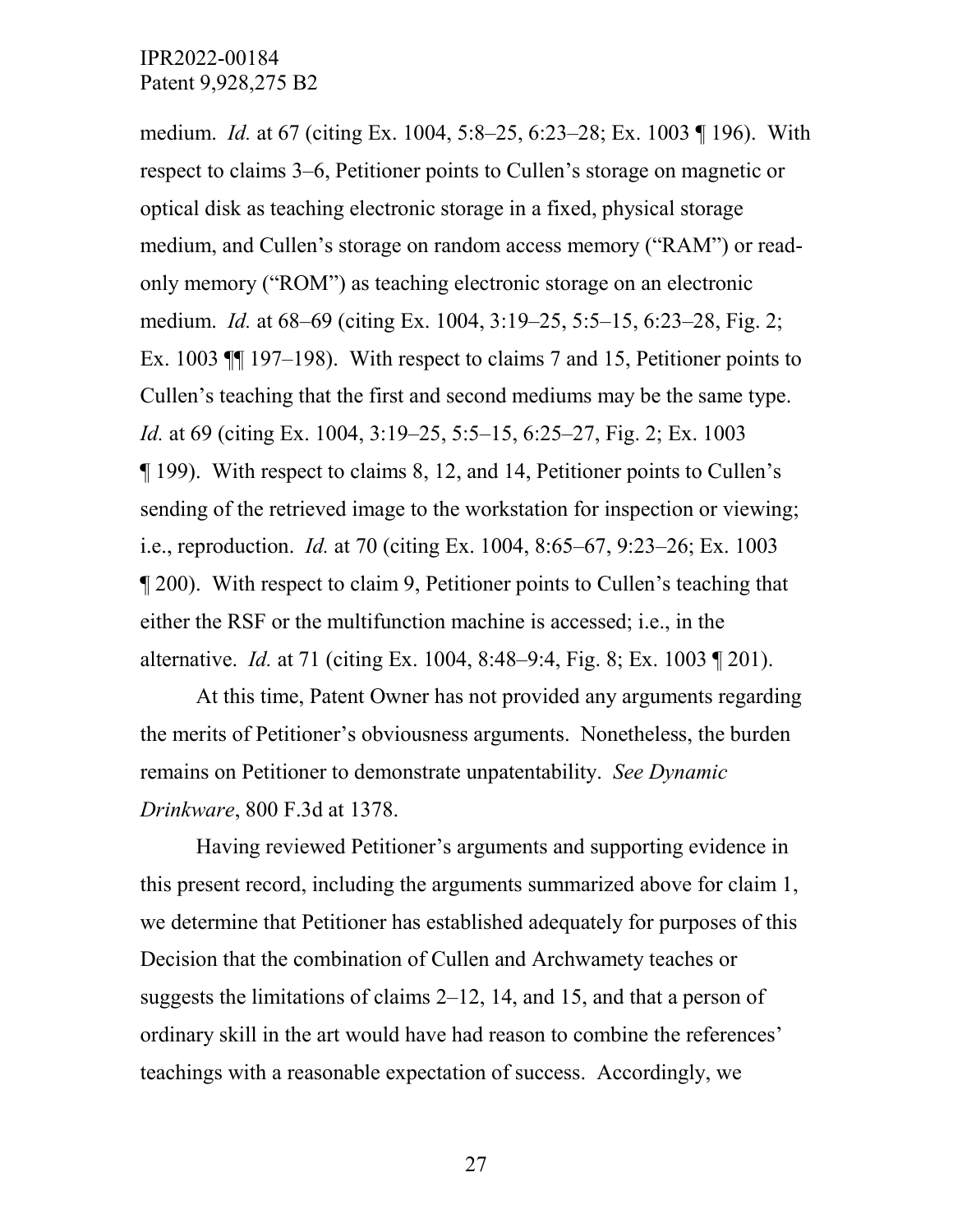medium. *Id.* at 67 (citing Ex. 1004, 5:8–25, 6:23–28; Ex. 1003 ¶ 196). With respect to claims 3–6, Petitioner points to Cullen's storage on magnetic or optical disk as teaching electronic storage in a fixed, physical storage medium, and Cullen's storage on random access memory ("RAM") or readonly memory ("ROM") as teaching electronic storage on an electronic medium. *Id.* at 68–69 (citing Ex. 1004, 3:19–25, 5:5–15, 6:23–28, Fig. 2; Ex. 1003 ¶¶ 197–198). With respect to claims 7 and 15, Petitioner points to Cullen's teaching that the first and second mediums may be the same type. *Id.* at 69 (citing Ex. 1004, 3:19–25, 5:5–15, 6:25–27, Fig. 2; Ex. 1003 ¶ 199). With respect to claims 8, 12, and 14, Petitioner points to Cullen's sending of the retrieved image to the workstation for inspection or viewing; i.e., reproduction. *Id.* at 70 (citing Ex. 1004, 8:65–67, 9:23–26; Ex. 1003 ¶ 200). With respect to claim 9, Petitioner points to Cullen's teaching that either the RSF or the multifunction machine is accessed; i.e., in the alternative. *Id.* at 71 (citing Ex. 1004, 8:48–9:4, Fig. 8; Ex. 1003 ¶ 201).

At this time, Patent Owner has not provided any arguments regarding the merits of Petitioner's obviousness arguments. Nonetheless, the burden remains on Petitioner to demonstrate unpatentability. *See Dynamic Drinkware*, 800 F.3d at 1378.

Having reviewed Petitioner's arguments and supporting evidence in this present record, including the arguments summarized above for claim 1, we determine that Petitioner has established adequately for purposes of this Decision that the combination of Cullen and Archwamety teaches or suggests the limitations of claims 2–12, 14, and 15, and that a person of ordinary skill in the art would have had reason to combine the references' teachings with a reasonable expectation of success. Accordingly, we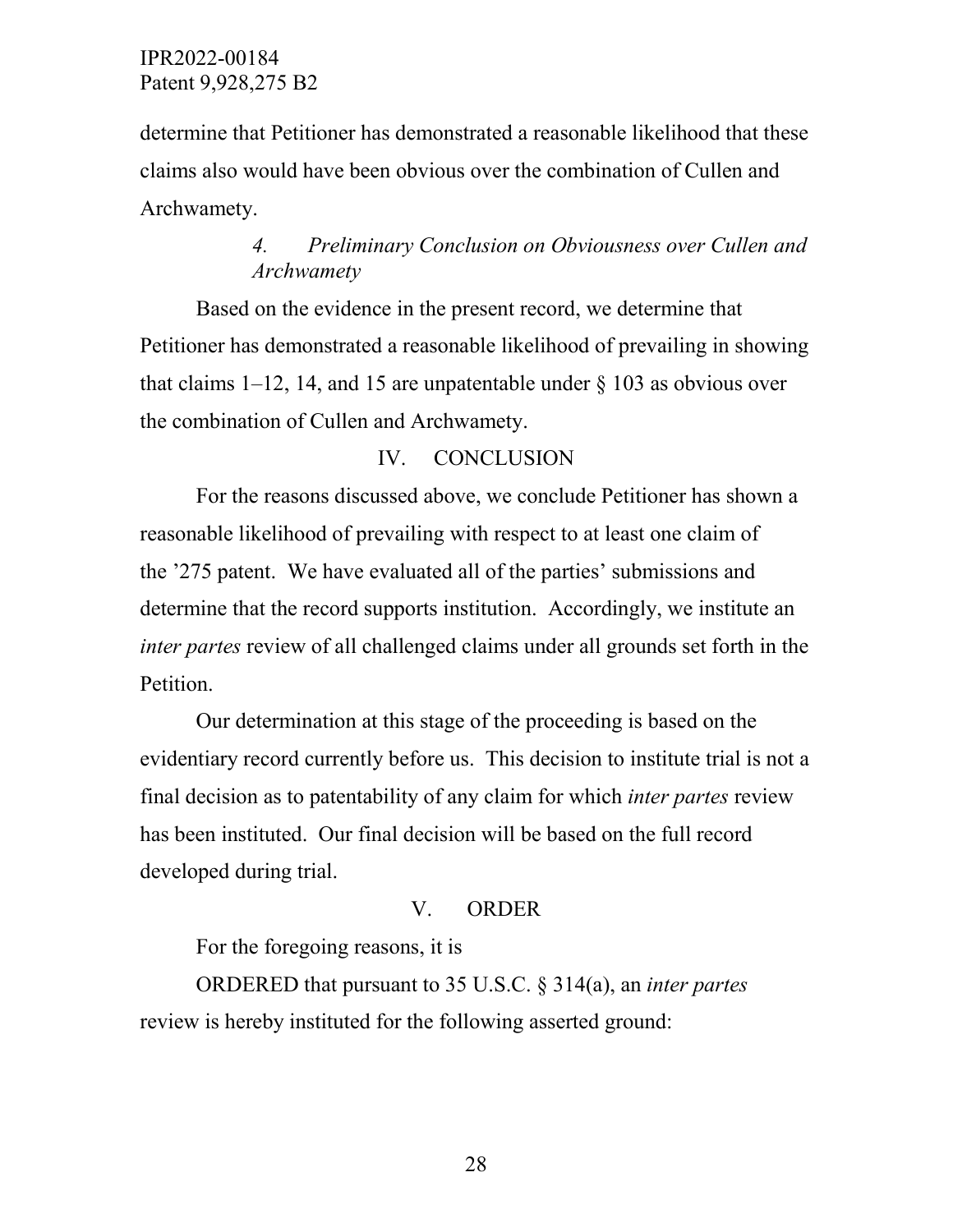determine that Petitioner has demonstrated a reasonable likelihood that these claims also would have been obvious over the combination of Cullen and Archwamety.

# *4. Preliminary Conclusion on Obviousness over Cullen and Archwamety*

Based on the evidence in the present record, we determine that Petitioner has demonstrated a reasonable likelihood of prevailing in showing that claims  $1-12$ , 14, and 15 are unpatentable under  $\S 103$  as obvious over the combination of Cullen and Archwamety.

## IV. CONCLUSION

For the reasons discussed above, we conclude Petitioner has shown a reasonable likelihood of prevailing with respect to at least one claim of the '275 patent. We have evaluated all of the parties' submissions and determine that the record supports institution. Accordingly, we institute an *inter partes* review of all challenged claims under all grounds set forth in the Petition.

Our determination at this stage of the proceeding is based on the evidentiary record currently before us. This decision to institute trial is not a final decision as to patentability of any claim for which *inter partes* review has been instituted. Our final decision will be based on the full record developed during trial.

## V. ORDER

For the foregoing reasons, it is

ORDERED that pursuant to 35 U.S.C. § 314(a), an *inter partes*  review is hereby instituted for the following asserted ground: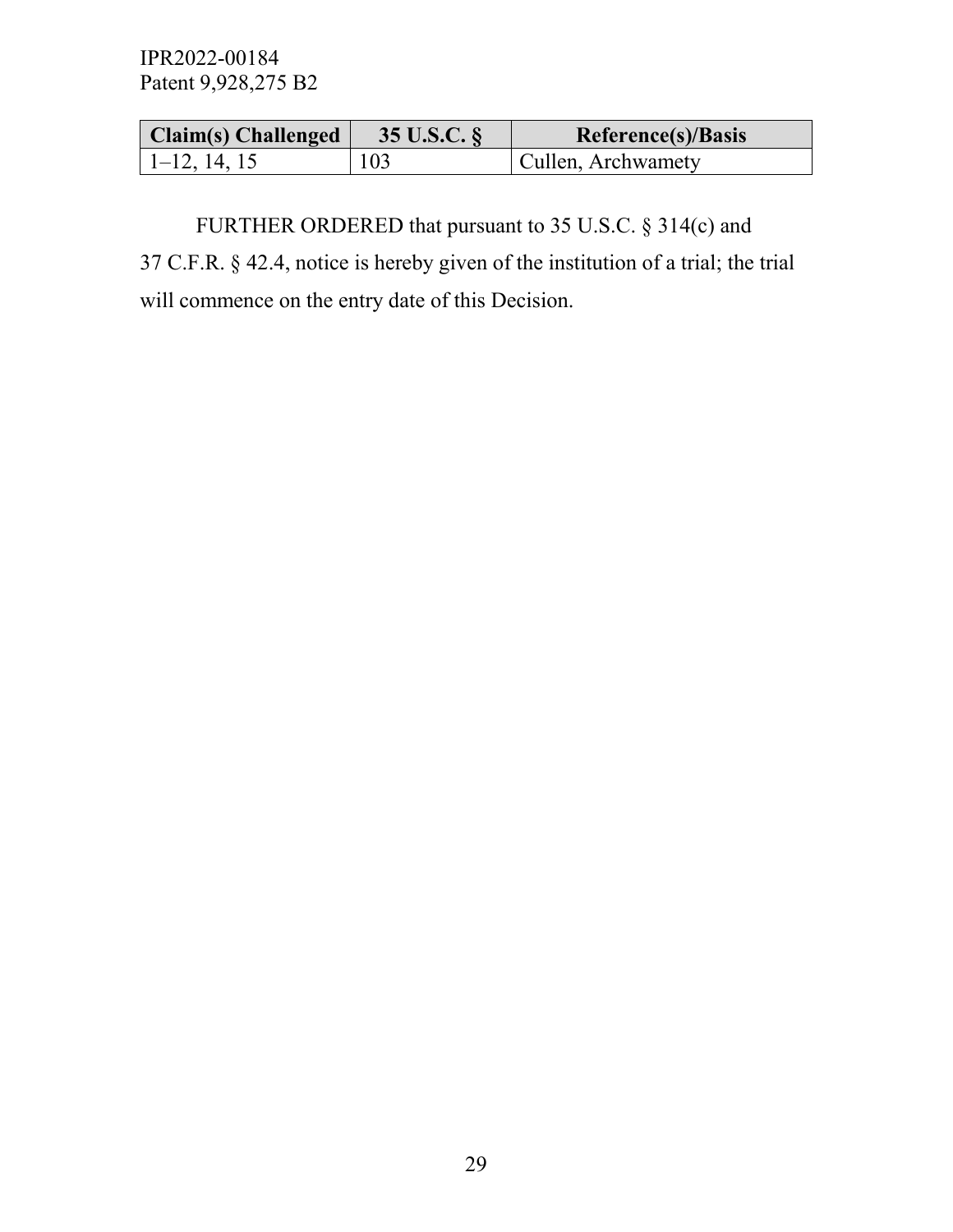| $ $ Claim(s) Challenged $ $ | 35 U.S.C. $\frac{1}{2}$ | Reference(s)/Basis |
|-----------------------------|-------------------------|--------------------|
| $1-12, 14, 15$              | 103                     | Cullen, Archwamety |

FURTHER ORDERED that pursuant to 35 U.S.C. § 314(c) and 37 C.F.R. § 42.4, notice is hereby given of the institution of a trial; the trial will commence on the entry date of this Decision.